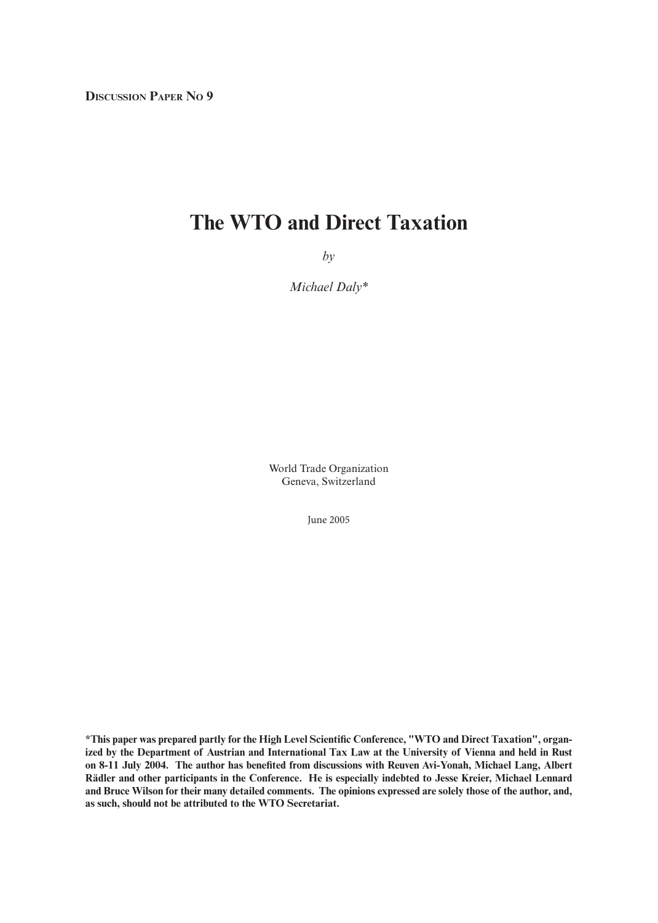**DISCUSSION PAPER NO 9** 

# **The WTO and Direct Taxation**

 $by$ 

Michael Daly\*

World Trade Organization Geneva, Switzerland

**June 2005** 

\*This paper was prepared partly for the High Level Scientific Conference, "WTO and Direct Taxation", organized by the Department of Austrian and International Tax Law at the University of Vienna and held in Rust on 8-11 July 2004. The author has benefited from discussions with Reuven Avi-Yonah, Michael Lang, Albert Rädler and other participants in the Conference. He is especially indebted to Jesse Kreier, Michael Lennard and Bruce Wilson for their many detailed comments. The opinions expressed are solely those of the author, and, as such, should not be attributed to the WTO Secretariat.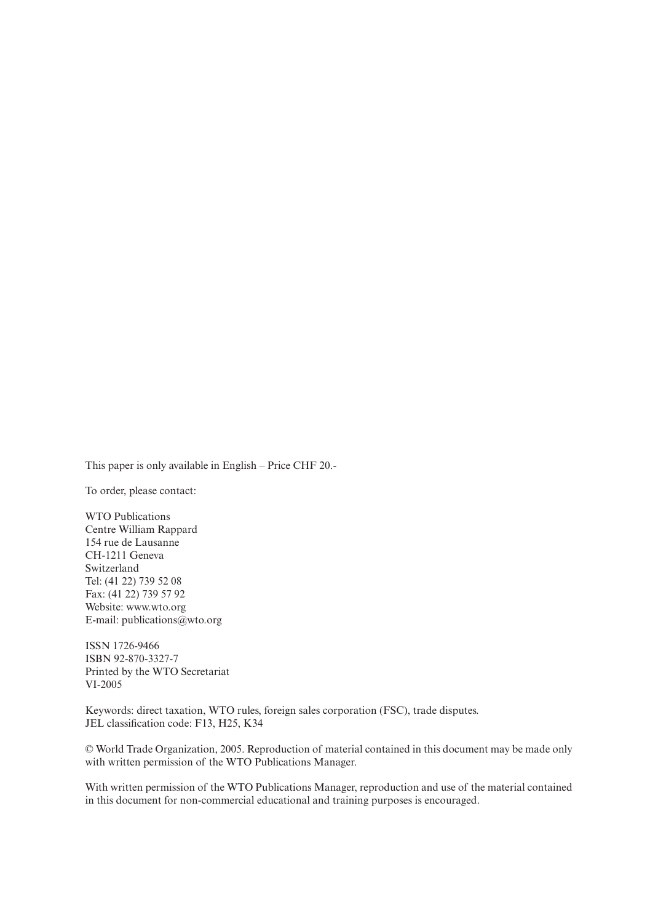This paper is only available in English - Price CHF 20.-

To order, please contact:

**WTO Publications** Centre William Rappard 154 rue de Lausanne CH-1211 Geneva Switzerland Tel: (41 22) 739 52 08 Fax: (41 22) 739 57 92 Website: www.wto.org E-mail: publications@wto.org

ISSN 1726-9466 ISBN 92-870-3327-7 Printed by the WTO Secretariat  $VI-2005$ 

Keywords: direct taxation, WTO rules, foreign sales corporation (FSC), trade disputes. JEL classification code: F13, H25, K34

© World Trade Organization, 2005. Reproduction of material contained in this document may be made only with written permission of the WTO Publications Manager.

With written permission of the WTO Publications Manager, reproduction and use of the material contained in this document for non-commercial educational and training purposes is encouraged.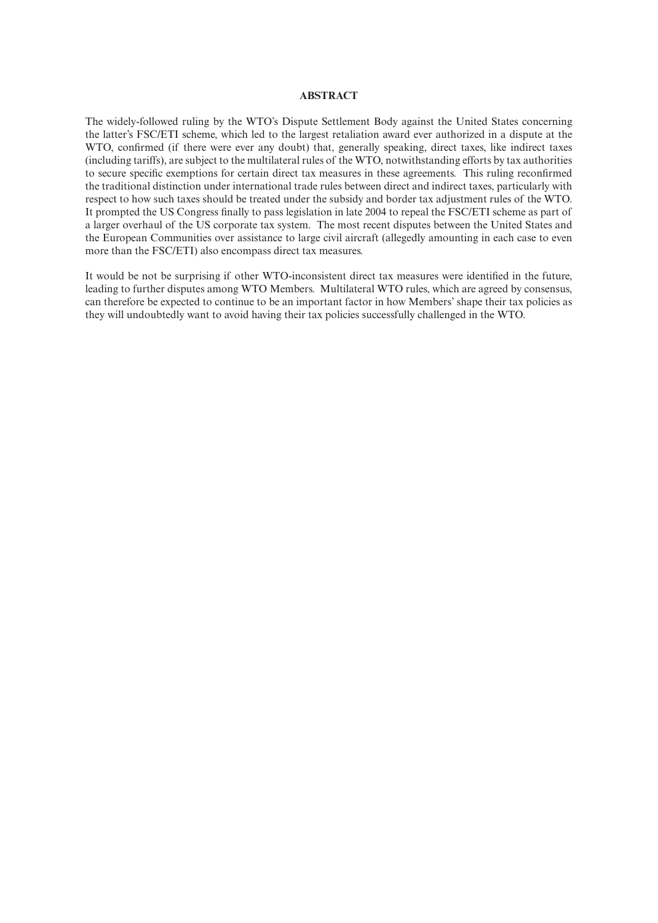## **ABSTRACT**

The widely-followed ruling by the WTO's Dispute Settlement Body against the United States concerning the latter's FSC/ETI scheme, which led to the largest retaliation award ever authorized in a dispute at the WTO, confirmed (if there were ever any doubt) that, generally speaking, direct taxes, like indirect taxes (including tariffs), are subject to the multilateral rules of the WTO, notwithstanding efforts by tax authorities to secure specific exemptions for certain direct tax measures in these agreements. This ruling reconfirmed the traditional distinction under international trade rules between direct and indirect taxes, particularly with respect to how such taxes should be treated under the subsidy and border tax adjustment rules of the WTO. It prompted the US Congress finally to pass legislation in late 2004 to repeal the FSC/ETI scheme as part of a larger overhaul of the US corporate tax system. The most recent disputes between the United States and the European Communities over assistance to large civil aircraft (allegedly amounting in each case to even more than the FSC/ETI) also encompass direct tax measures.

It would be not be surprising if other WTO-inconsistent direct tax measures were identified in the future, leading to further disputes among WTO Members. Multilateral WTO rules, which are agreed by consensus, can therefore be expected to continue to be an important factor in how Members' shape their tax policies as they will undoubtedly want to avoid having their tax policies successfully challenged in the WTO.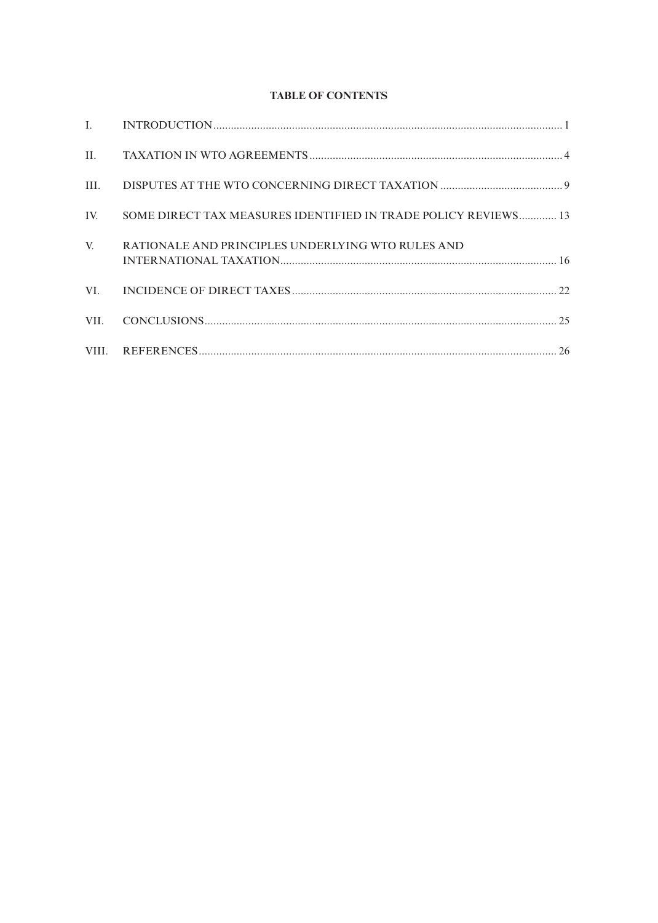## **TABLE OF CONTENTS**

| П.   |                                                                |  |
|------|----------------------------------------------------------------|--|
| III. |                                                                |  |
| IV.  | SOME DIRECT TAX MEASURES IDENTIFIED IN TRADE POLICY REVIEWS 13 |  |
| V.   | RATIONALE AND PRINCIPLES UNDERLYING WTO RULES AND              |  |
| VI.  |                                                                |  |
| VII. |                                                                |  |
|      |                                                                |  |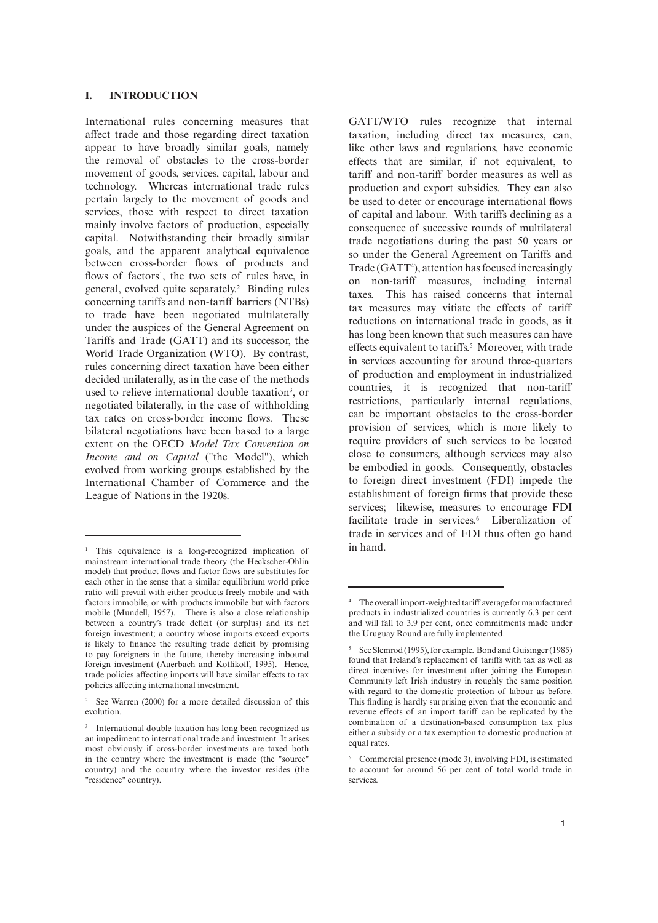### **INTRODUCTION** L

International rules concerning measures that affect trade and those regarding direct taxation appear to have broadly similar goals, namely the removal of obstacles to the cross-border movement of goods, services, capital, labour and technology. Whereas international trade rules pertain largely to the movement of goods and services, those with respect to direct taxation mainly involve factors of production, especially capital. Notwithstanding their broadly similar goals, and the apparent analytical equivalence between cross-border flows of products and flows of factors<sup>1</sup>, the two sets of rules have, in general, evolved quite separately.<sup>2</sup> Binding rules concerning tariffs and non-tariff barriers (NTBs) to trade have been negotiated multilaterally under the auspices of the General Agreement on Tariffs and Trade (GATT) and its successor, the World Trade Organization (WTO). By contrast, rules concerning direct taxation have been either decided unilaterally, as in the case of the methods used to relieve international double taxation<sup>3</sup>, or negotiated bilaterally, in the case of withholding tax rates on cross-border income flows. These bilateral negotiations have been based to a large extent on the OECD Model Tax Convention on Income and on Capital ("the Model"), which evolved from working groups established by the International Chamber of Commerce and the League of Nations in the 1920s.

GATT/WTO rules recognize that internal taxation, including direct tax measures, can, like other laws and regulations, have economic effects that are similar, if not equivalent, to tariff and non-tariff border measures as well as production and export subsidies. They can also be used to deter or encourage international flows of capital and labour. With tariffs declining as a consequence of successive rounds of multilateral trade negotiations during the past 50 years or so under the General Agreement on Tariffs and Trade (GATT<sup>4</sup>), attention has focused increasingly on non-tariff measures, including internal taxes. This has raised concerns that internal tax measures may vitiate the effects of tariff reductions on international trade in goods, as it has long been known that such measures can have effects equivalent to tariffs.<sup>5</sup> Moreover, with trade in services accounting for around three-quarters of production and employment in industrialized countries, it is recognized that non-tariff restrictions, particularly internal regulations, can be important obstacles to the cross-border provision of services, which is more likely to require providers of such services to be located close to consumers, although services may also be embodied in goods. Consequently, obstacles to foreign direct investment (FDI) impede the establishment of foreign firms that provide these services; likewise, measures to encourage FDI facilitate trade in services.<sup>6</sup> Liberalization of trade in services and of FDI thus often go hand in hand.

<sup>&</sup>lt;sup>1</sup> This equivalence is a long-recognized implication of mainstream international trade theory (the Heckscher-Ohlin model) that product flows and factor flows are substitutes for each other in the sense that a similar equilibrium world price ratio will prevail with either products freely mobile and with factors immobile, or with products immobile but with factors mobile (Mundell, 1957). There is also a close relationship between a country's trade deficit (or surplus) and its net foreign investment; a country whose imports exceed exports is likely to finance the resulting trade deficit by promising to pay foreigners in the future, thereby increasing inbound foreign investment (Auerbach and Kotlikoff, 1995). Hence, trade policies affecting imports will have similar effects to tax policies affecting international investment.

See Warren (2000) for a more detailed discussion of this evolution.

International double taxation has long been recognized as an impediment to international trade and investment It arises most obviously if cross-border investments are taxed both in the country where the investment is made (the "source" country) and the country where the investor resides (the "residence" country).

The overall import-weighted tariff average for manufactured products in industrialized countries is currently 6.3 per cent and will fall to 3.9 per cent, once commitments made under the Uruguay Round are fully implemented.

<sup>&</sup>lt;sup>5</sup> See Slemrod (1995), for example. Bond and Guisinger (1985) found that Ireland's replacement of tariffs with tax as well as direct incentives for investment after joining the European Community left Irish industry in roughly the same position with regard to the domestic protection of labour as before. This finding is hardly surprising given that the economic and revenue effects of an import tariff can be replicated by the combination of a destination-based consumption tax plus either a subsidy or a tax exemption to domestic production at equal rates.

<sup>&</sup>lt;sup>6</sup> Commercial presence (mode 3), involving FDI, is estimated to account for around 56 per cent of total world trade in services.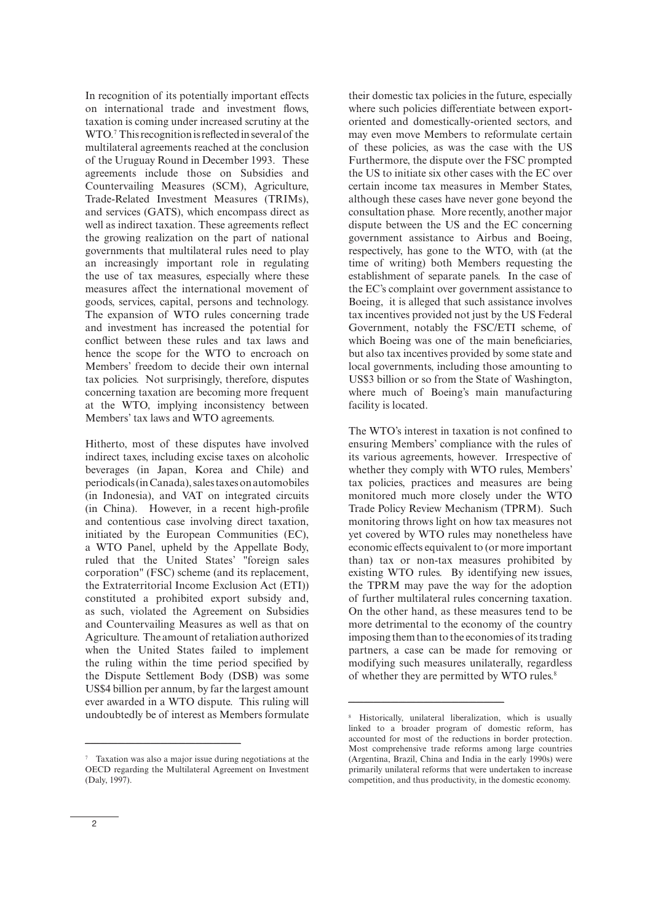In recognition of its potentially important effects on international trade and investment flows. taxation is coming under increased scrutiny at the WTO.<sup>7</sup> This recognition is reflected in several of the multilateral agreements reached at the conclusion of the Uruguay Round in December 1993. These agreements include those on Subsidies and Countervailing Measures (SCM), Agriculture, Trade-Related Investment Measures (TRIMs), and services (GATS), which encompass direct as well as indirect taxation. These agreements reflect the growing realization on the part of national governments that multilateral rules need to play an increasingly important role in regulating the use of tax measures, especially where these measures affect the international movement of goods, services, capital, persons and technology. The expansion of WTO rules concerning trade and investment has increased the potential for conflict between these rules and tax laws and hence the scope for the WTO to encroach on Members' freedom to decide their own internal tax policies. Not surprisingly, therefore, disputes concerning taxation are becoming more frequent at the WTO, implying inconsistency between Members' tax laws and WTO agreements.

Hitherto, most of these disputes have involved indirect taxes, including excise taxes on alcoholic beverages (in Japan, Korea and Chile) and periodicals (in Canada), sales taxes on automobiles (in Indonesia), and VAT on integrated circuits (in China). However, in a recent high-profile and contentious case involving direct taxation, initiated by the European Communities (EC), a WTO Panel, upheld by the Appellate Body, ruled that the United States' "foreign sales corporation" (FSC) scheme (and its replacement, the Extraterritorial Income Exclusion Act (ETI)) constituted a prohibited export subsidy and, as such, violated the Agreement on Subsidies and Countervailing Measures as well as that on Agriculture. The amount of retaliation authorized when the United States failed to implement the ruling within the time period specified by the Dispute Settlement Body (DSB) was some US\$4 billion per annum, by far the largest amount ever awarded in a WTO dispute. This ruling will undoubtedly be of interest as Members formulate

<sup>7</sup> Taxation was also a major issue during negotiations at the OECD regarding the Multilateral Agreement on Investment (Daly, 1997).

their domestic tax policies in the future, especially where such policies differentiate between exportoriented and domestically-oriented sectors, and may even move Members to reformulate certain of these policies, as was the case with the US Furthermore, the dispute over the FSC prompted the US to initiate six other cases with the EC over certain income tax measures in Member States, although these cases have never gone beyond the consultation phase. More recently, another major dispute between the US and the EC concerning government assistance to Airbus and Boeing, respectively, has gone to the WTO, with (at the time of writing) both Members requesting the establishment of separate panels. In the case of the EC's complaint over government assistance to Boeing, it is alleged that such assistance involves tax incentives provided not just by the US Federal Government, notably the FSC/ETI scheme, of which Boeing was one of the main beneficiaries, but also tax incentives provided by some state and local governments, including those amounting to US\$3 billion or so from the State of Washington, where much of Boeing's main manufacturing facility is located.

The WTO's interest in taxation is not confined to ensuring Members' compliance with the rules of its various agreements, however. Irrespective of whether they comply with WTO rules, Members' tax policies, practices and measures are being monitored much more closely under the WTO Trade Policy Review Mechanism (TPRM). Such monitoring throws light on how tax measures not yet covered by WTO rules may nonetheless have economic effects equivalent to (or more important than) tax or non-tax measures prohibited by existing WTO rules. By identifying new issues, the TPRM may pave the way for the adoption of further multilateral rules concerning taxation. On the other hand, as these measures tend to be more detrimental to the economy of the country imposing them than to the economies of its trading partners, a case can be made for removing or modifying such measures unilaterally, regardless of whether they are permitted by WTO rules.<sup>8</sup>

<sup>&</sup>lt;sup>8</sup> Historically, unilateral liberalization, which is usually linked to a broader program of domestic reform, has accounted for most of the reductions in border protection. Most comprehensive trade reforms among large countries (Argentina, Brazil, China and India in the early 1990s) were primarily unilateral reforms that were undertaken to increase competition, and thus productivity, in the domestic economy.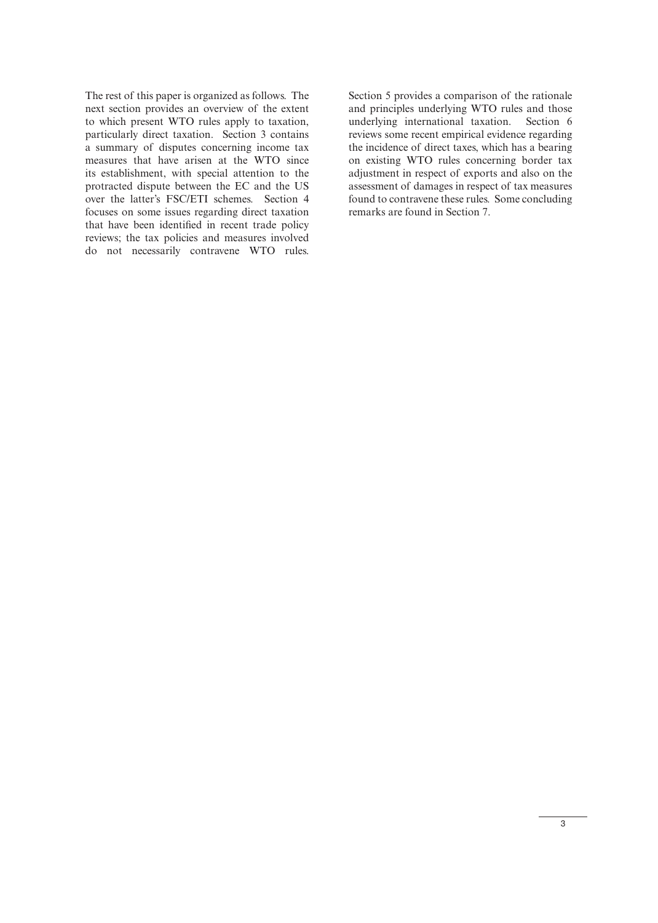The rest of this paper is organized as follows. The next section provides an overview of the extent to which present WTO rules apply to taxation, particularly direct taxation. Section 3 contains a summary of disputes concerning income tax measures that have arisen at the WTO since its establishment, with special attention to the protracted dispute between the EC and the US over the latter's FSC/ETI schemes. Section 4 focuses on some issues regarding direct taxation that have been identified in recent trade policy reviews; the tax policies and measures involved do not necessarily contravene WTO rules.

Section 5 provides a comparison of the rationale and principles underlying WTO rules and those underlying international taxation. Section 6 reviews some recent empirical evidence regarding the incidence of direct taxes, which has a bearing on existing WTO rules concerning border tax adjustment in respect of exports and also on the assessment of damages in respect of tax measures found to contravene these rules. Some concluding remarks are found in Section 7.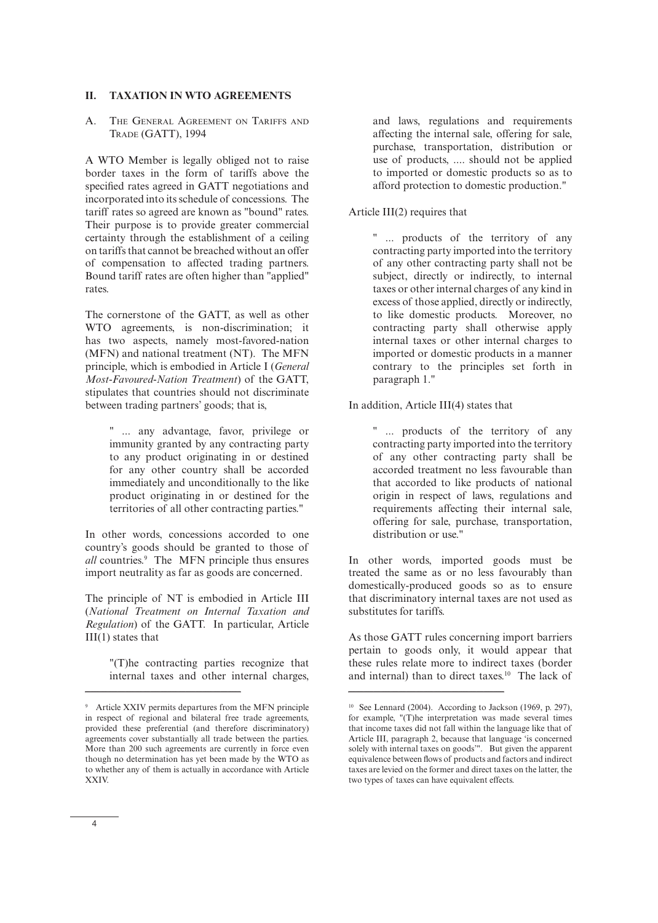### **TAXATION IN WTO AGREEMENTS**  $\Pi$ .

### $A_{1}$ THE GENERAL AGREEMENT ON TARIFFS AND TRADE (GATT), 1994

A WTO Member is legally obliged not to raise border taxes in the form of tariffs above the specified rates agreed in GATT negotiations and incorporated into its schedule of concessions. The tariff rates so agreed are known as "bound" rates. Their purpose is to provide greater commercial certainty through the establishment of a ceiling on tariffs that cannot be breached without an offer of compensation to affected trading partners. Bound tariff rates are often higher than "applied" rates.

The cornerstone of the GATT, as well as other WTO agreements, is non-discrimination; it has two aspects, namely most-favored-nation (MFN) and national treatment (NT). The MFN principle, which is embodied in Article I (General Most-Favoured-Nation Treatment) of the GATT, stipulates that countries should not discriminate between trading partners' goods; that is,

> " ... any advantage, favor, privilege or immunity granted by any contracting party to any product originating in or destined for any other country shall be accorded immediately and unconditionally to the like product originating in or destined for the territories of all other contracting parties."

In other words, concessions accorded to one country's goods should be granted to those of all countries.<sup>9</sup> The MFN principle thus ensures import neutrality as far as goods are concerned.

The principle of NT is embodied in Article III (National Treatment on Internal Taxation and Regulation) of the GATT. In particular, Article  $III(1)$  states that

> "(T)he contracting parties recognize that internal taxes and other internal charges,

and laws, regulations and requirements affecting the internal sale, offering for sale, purchase, transportation, distribution or use of products, .... should not be applied to imported or domestic products so as to afford protection to domestic production."

## Article III $(2)$  requires that

" ... products of the territory of any contracting party imported into the territory of any other contracting party shall not be subject, directly or indirectly, to internal taxes or other internal charges of any kind in excess of those applied, directly or indirectly, to like domestic products. Moreover, no contracting party shall otherwise apply internal taxes or other internal charges to imported or domestic products in a manner contrary to the principles set forth in paragraph 1."

In addition, Article III(4) states that

" ... products of the territory of any contracting party imported into the territory of any other contracting party shall be accorded treatment no less favourable than that accorded to like products of national origin in respect of laws, regulations and requirements affecting their internal sale, offering for sale, purchase, transportation, distribution or use."

In other words, imported goods must be treated the same as or no less favourably than domestically-produced goods so as to ensure that discriminatory internal taxes are not used as substitutes for tariffs.

As those GATT rules concerning import barriers pertain to goods only, it would appear that these rules relate more to indirect taxes (border and internal) than to direct taxes.<sup>10</sup> The lack of

<sup>&</sup>lt;sup>9</sup> Article XXIV permits departures from the MFN principle in respect of regional and bilateral free trade agreements, provided these preferential (and therefore discriminatory) agreements cover substantially all trade between the parties. More than 200 such agreements are currently in force even though no determination has yet been made by the WTO as to whether any of them is actually in accordance with Article XXIV.

<sup>&</sup>lt;sup>10</sup> See Lennard (2004). According to Jackson (1969, p. 297), for example, "(T)he interpretation was made several times that income taxes did not fall within the language like that of Article III, paragraph 2, because that language 'is concerned solely with internal taxes on goods". But given the apparent equivalence between flows of products and factors and indirect taxes are levied on the former and direct taxes on the latter, the two types of taxes can have equivalent effects.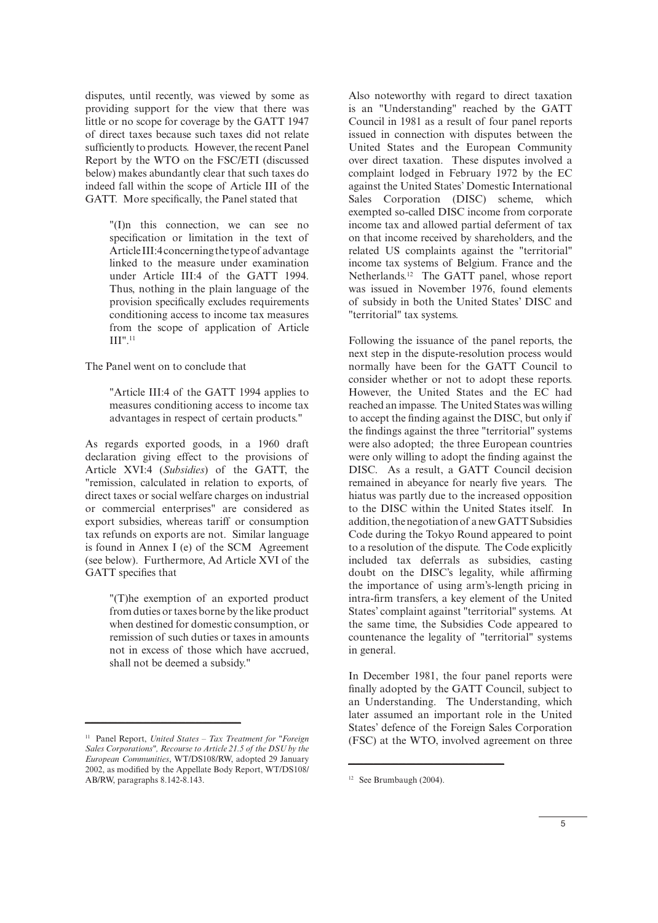disputes, until recently, was viewed by some as providing support for the view that there was little or no scope for coverage by the GATT 1947 of direct taxes because such taxes did not relate sufficiently to products. However, the recent Panel Report by the WTO on the FSC/ETI (discussed below) makes abundantly clear that such taxes do indeed fall within the scope of Article III of the GATT. More specifically, the Panel stated that

> "(I)n this connection, we can see no specification or limitation in the text of Article III:4 concerning the type of advantage linked to the measure under examination under Article III:4 of the GATT 1994. Thus, nothing in the plain language of the provision specifically excludes requirements conditioning access to income tax measures from the scope of application of Article  $III$ ".<sup>11</sup>

The Panel went on to conclude that

"Article III:4 of the GATT 1994 applies to measures conditioning access to income tax advantages in respect of certain products."

As regards exported goods, in a 1960 draft declaration giving effect to the provisions of Article XVI:4 (Subsidies) of the GATT, the "remission, calculated in relation to exports, of direct taxes or social welfare charges on industrial or commercial enterprises" are considered as export subsidies, whereas tariff or consumption tax refunds on exports are not. Similar language is found in Annex I (e) of the SCM Agreement (see below). Furthermore, Ad Article XVI of the GATT specifies that

> "(T)he exemption of an exported product from duties or taxes borne by the like product when destined for domestic consumption, or remission of such duties or taxes in amounts not in excess of those which have accrued. shall not be deemed a subsidy."

Also noteworthy with regard to direct taxation is an "Understanding" reached by the GATT Council in 1981 as a result of four panel reports issued in connection with disputes between the United States and the European Community over direct taxation. These disputes involved a complaint lodged in February 1972 by the EC against the United States' Domestic International Sales Corporation (DISC) scheme, which exempted so-called DISC income from corporate income tax and allowed partial deferment of tax on that income received by shareholders, and the related US complaints against the "territorial" income tax systems of Belgium. France and the Netherlands.<sup>12</sup> The GATT panel, whose report was issued in November 1976, found elements of subsidy in both the United States' DISC and "territorial" tax systems.

Following the issuance of the panel reports, the next step in the dispute-resolution process would normally have been for the GATT Council to consider whether or not to adopt these reports. However, the United States and the EC had reached an impasse. The United States was willing to accept the finding against the DISC, but only if the findings against the three "territorial" systems were also adopted; the three European countries were only willing to adopt the finding against the DISC. As a result, a GATT Council decision remained in abeyance for nearly five years. The hiatus was partly due to the increased opposition to the DISC within the United States itself. In addition, the negotiation of a new GATT Subsidies Code during the Tokyo Round appeared to point to a resolution of the dispute. The Code explicitly included tax deferrals as subsidies, casting doubt on the DISC's legality, while affirming the importance of using arm's-length pricing in intra-firm transfers, a key element of the United States' complaint against "territorial" systems. At the same time, the Subsidies Code appeared to countenance the legality of "territorial" systems in general.

In December 1981, the four panel reports were finally adopted by the GATT Council, subject to an Understanding. The Understanding, which later assumed an important role in the United States' defence of the Foreign Sales Corporation (FSC) at the WTO, involved agreement on three

<sup>&</sup>lt;sup>11</sup> Panel Report, United States - Tax Treatment for "Foreign Sales Corporations", Recourse to Article 21.5 of the DSU by the European Communities, WT/DS108/RW, adopted 29 January 2002, as modified by the Appellate Body Report, WT/DS108/ AB/RW, paragraphs 8.142-8.143.

<sup>&</sup>lt;sup>12</sup> See Brumbaugh  $(2004)$ .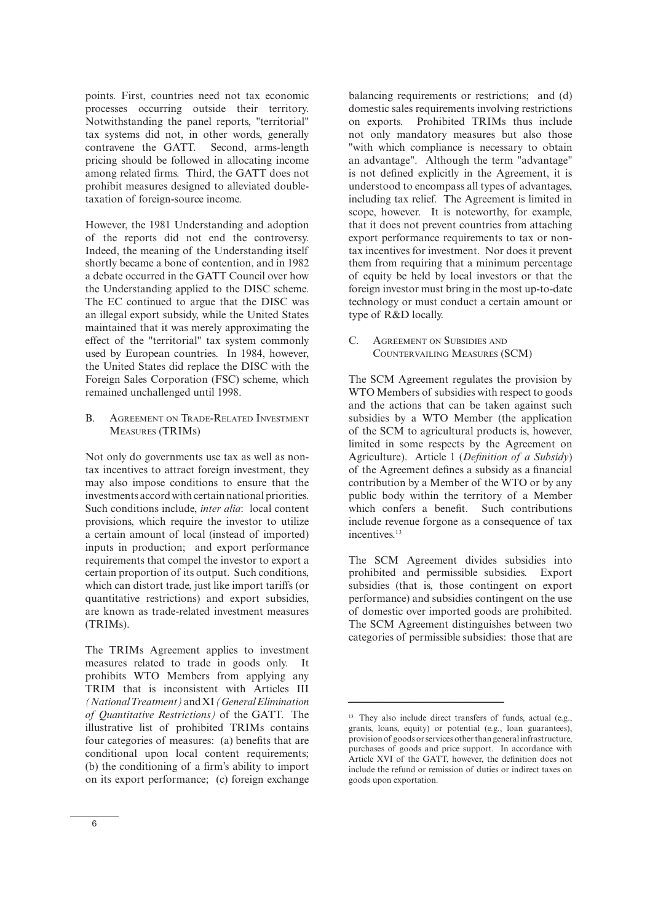points. First, countries need not tax economic processes occurring outside their territory. Notwithstanding the panel reports, "territorial" tax systems did not, in other words, generally contravene the GATT. Second, arms-length pricing should be followed in allocating income among related firms. Third, the GATT does not prohibit measures designed to alleviated doubletaxation of foreign-source income.

However, the 1981 Understanding and adoption of the reports did not end the controversy. Indeed, the meaning of the Understanding itself shortly became a bone of contention, and in 1982 a debate occurred in the GATT Council over how the Understanding applied to the DISC scheme. The EC continued to argue that the DISC was an illegal export subsidy, while the United States maintained that it was merely approximating the effect of the "territorial" tax system commonly used by European countries. In 1984, however, the United States did replace the DISC with the Foreign Sales Corporation (FSC) scheme, which remained unchallenged until 1998.

## $B<sub>1</sub>$ **AGREEMENT ON TRADE-RELATED INVESTMENT MEASURES (TRIMS)**

Not only do governments use tax as well as nontax incentives to attract foreign investment, they may also impose conditions to ensure that the investments accord with certain national priorities. Such conditions include, *inter alia*: local content provisions, which require the investor to utilize a certain amount of local (instead of imported) inputs in production; and export performance requirements that compel the investor to export a certain proportion of its output. Such conditions, which can distort trade, just like import tariffs (or quantitative restrictions) and export subsidies, are known as trade-related investment measures (TRIMs).

The TRIMs Agreement applies to investment measures related to trade in goods only. It prohibits WTO Members from applying any TRIM that is inconsistent with Articles III (National Treatment) and XI (General Elimination of Quantitative Restrictions) of the GATT. The illustrative list of prohibited TRIMs contains four categories of measures: (a) benefits that are conditional upon local content requirements; (b) the conditioning of a firm's ability to import on its export performance; (c) foreign exchange balancing requirements or restrictions; and (d) domestic sales requirements involving restrictions on exports. Prohibited TRIMs thus include not only mandatory measures but also those "with which compliance is necessary to obtain an advantage". Although the term "advantage" is not defined explicitly in the Agreement, it is understood to encompass all types of advantages, including tax relief. The Agreement is limited in scope, however. It is noteworthy, for example, that it does not prevent countries from attaching export performance requirements to tax or nontax incentives for investment. Nor does it prevent them from requiring that a minimum percentage of equity be held by local investors or that the foreign investor must bring in the most up-to-date technology or must conduct a certain amount or type of R&D locally.

## $\mathcal{C}$ . **AGREEMENT ON SUBSIDIES AND** COUNTERVAILING MEASURES (SCM)

The SCM Agreement regulates the provision by WTO Members of subsidies with respect to goods and the actions that can be taken against such subsidies by a WTO Member (the application of the SCM to agricultural products is, however, limited in some respects by the Agreement on Agriculture). Article 1 (Definition of a Subsidy) of the Agreement defines a subsidy as a financial contribution by a Member of the WTO or by any public body within the territory of a Member which confers a benefit. Such contributions include revenue forgone as a consequence of tax incentives.<sup>13</sup>

The SCM Agreement divides subsidies into prohibited and permissible subsidies. Export subsidies (that is, those contingent on export performance) and subsidies contingent on the use of domestic over imported goods are prohibited. The SCM Agreement distinguishes between two categories of permissible subsidies: those that are

<sup>&</sup>lt;sup>13</sup> They also include direct transfers of funds, actual (e.g., grants, loans, equity) or potential (e.g., loan guarantees), provision of goods or services other than general infrastructure, purchases of goods and price support. In accordance with Article XVI of the GATT, however, the definition does not include the refund or remission of duties or indirect taxes on goods upon exportation.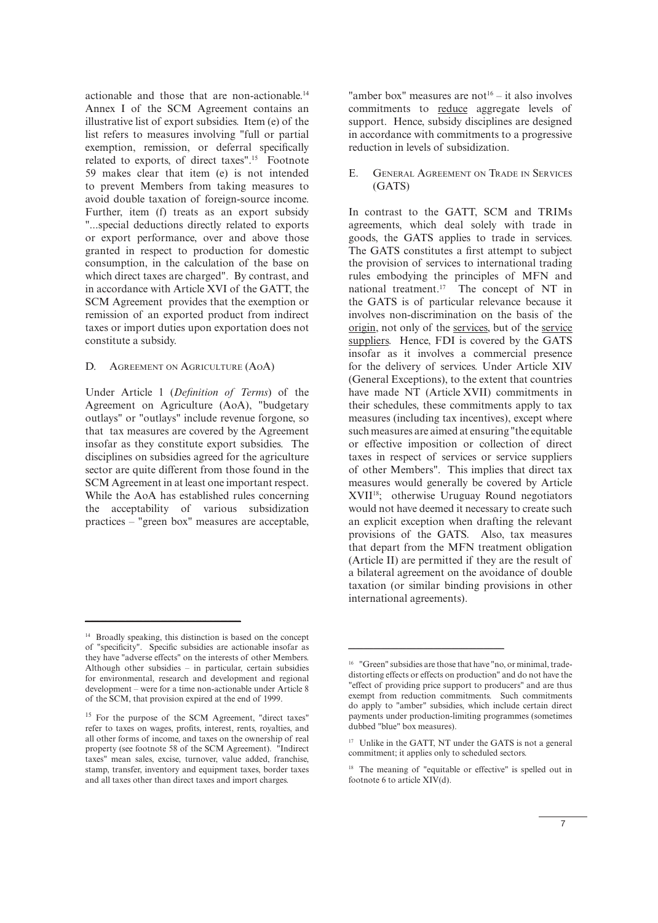actionable and those that are non-actionable.<sup>14</sup> Annex I of the SCM Agreement contains an illustrative list of export subsidies. Item (e) of the list refers to measures involving "full or partial exemption, remission, or deferral specifically related to exports, of direct taxes".<sup>15</sup> Footnote 59 makes clear that item (e) is not intended to prevent Members from taking measures to avoid double taxation of foreign-source income. Further, item (f) treats as an export subsidy "...special deductions directly related to exports or export performance, over and above those granted in respect to production for domestic consumption, in the calculation of the base on which direct taxes are charged". By contrast, and in accordance with Article XVI of the GATT, the SCM Agreement provides that the exemption or remission of an exported product from indirect taxes or import duties upon exportation does not constitute a subsidy.

### AGREEMENT ON AGRICULTURE (AOA) D.

Under Article 1 (Definition of Terms) of the Agreement on Agriculture (AoA), "budgetary outlays" or "outlays" include revenue forgone, so that tax measures are covered by the Agreement insofar as they constitute export subsidies. The disciplines on subsidies agreed for the agriculture sector are quite different from those found in the SCM Agreement in at least one important respect. While the AoA has established rules concerning the acceptability of various subsidization practices - "green box" measures are acceptable, "amber box" measures are not<sup>16</sup> – it also involves commitments to reduce aggregate levels of support. Hence, subsidy disciplines are designed in accordance with commitments to a progressive reduction in levels of subsidization.

 $\mathbf{E}$ **GENERAL AGREEMENT ON TRADE IN SERVICES**  $(GATS)$ 

In contrast to the GATT, SCM and TRIMs agreements, which deal solely with trade in goods, the GATS applies to trade in services. The GATS constitutes a first attempt to subject the provision of services to international trading rules embodying the principles of MFN and national treatment.<sup>17</sup> The concept of NT in the GATS is of particular relevance because it involves non-discrimination on the basis of the origin, not only of the services, but of the service suppliers. Hence, FDI is covered by the GATS insofar as it involves a commercial presence for the delivery of services. Under Article XIV (General Exceptions), to the extent that countries have made NT (Article XVII) commitments in their schedules, these commitments apply to tax measures (including tax incentives), except where such measures are aimed at ensuring "the equitable or effective imposition or collection of direct taxes in respect of services or service suppliers of other Members". This implies that direct tax measures would generally be covered by Article XVII<sup>18</sup>; otherwise Uruguay Round negotiators would not have deemed it necessary to create such an explicit exception when drafting the relevant provisions of the GATS. Also, tax measures that depart from the MFN treatment obligation (Article II) are permitted if they are the result of a bilateral agreement on the avoidance of double taxation (or similar binding provisions in other international agreements).

<sup>&</sup>lt;sup>14</sup> Broadly speaking, this distinction is based on the concept of "specificity". Specific subsidies are actionable insofar as they have "adverse effects" on the interests of other Members. Although other subsidies - in particular, certain subsidies for environmental, research and development and regional development - were for a time non-actionable under Article 8 of the SCM, that provision expired at the end of 1999.

<sup>&</sup>lt;sup>15</sup> For the purpose of the SCM Agreement, "direct taxes" refer to taxes on wages, profits, interest, rents, royalties, and all other forms of income, and taxes on the ownership of real property (see footnote 58 of the SCM Agreement). "Indirect taxes" mean sales, excise, turnover, value added, franchise, stamp, transfer, inventory and equipment taxes, border taxes and all taxes other than direct taxes and import charges.

<sup>&</sup>lt;sup>16</sup> "Green" subsidies are those that have "no, or minimal, tradedistorting effects or effects on production" and do not have the "effect of providing price support to producers" and are thus exempt from reduction commitments. Such commitments do apply to "amber" subsidies, which include certain direct payments under production-limiting programmes (sometimes dubbed "blue" box measures).

<sup>&</sup>lt;sup>17</sup> Unlike in the GATT, NT under the GATS is not a general commitment; it applies only to scheduled sectors.

<sup>&</sup>lt;sup>18</sup> The meaning of "equitable or effective" is spelled out in footnote 6 to article XIV(d).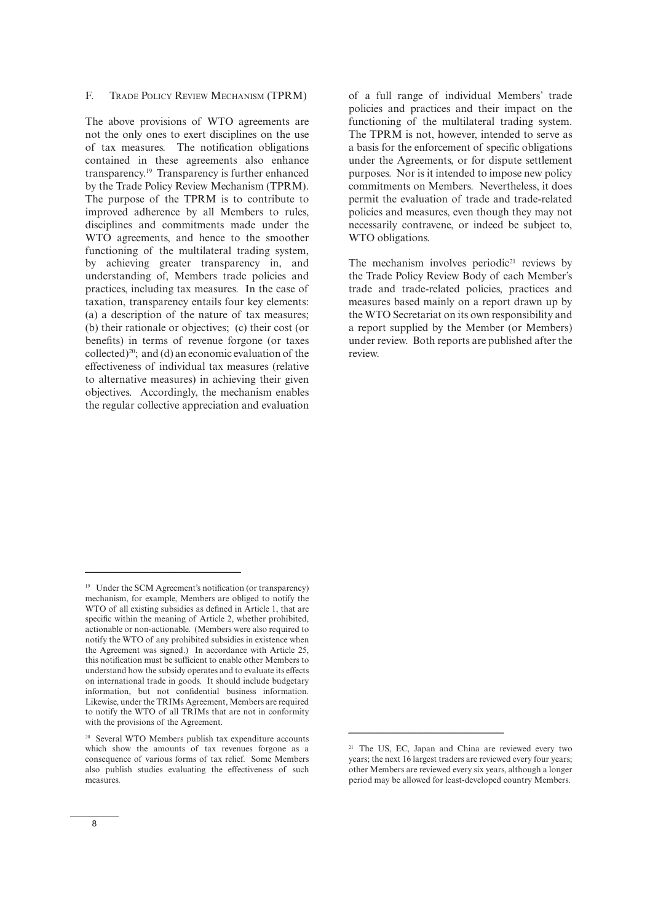### TRADE POLICY REVIEW MECHANISM (TPRM) F.

The above provisions of WTO agreements are not the only ones to exert disciplines on the use of tax measures. The notification obligations contained in these agreements also enhance transparency.<sup>19</sup> Transparency is further enhanced by the Trade Policy Review Mechanism (TPRM). The purpose of the TPRM is to contribute to improved adherence by all Members to rules, disciplines and commitments made under the WTO agreements, and hence to the smoother functioning of the multilateral trading system, by achieving greater transparency in, and understanding of, Members trade policies and practices, including tax measures. In the case of taxation, transparency entails four key elements: (a) a description of the nature of tax measures; (b) their rationale or objectives; (c) their cost (or benefits) in terms of revenue forgone (or taxes collected)<sup>20</sup>; and (d) an economic evaluation of the effectiveness of individual tax measures (relative to alternative measures) in achieving their given objectives. Accordingly, the mechanism enables the regular collective appreciation and evaluation of a full range of individual Members' trade policies and practices and their impact on the functioning of the multilateral trading system. The TPRM is not, however, intended to serve as a basis for the enforcement of specific obligations under the Agreements, or for dispute settlement purposes. Nor is it intended to impose new policy commitments on Members. Nevertheless, it does permit the evaluation of trade and trade-related policies and measures, even though they may not necessarily contravene, or indeed be subject to, WTO obligations.

The mechanism involves periodic<sup>21</sup> reviews by the Trade Policy Review Body of each Member's trade and trade-related policies, practices and measures based mainly on a report drawn up by the WTO Secretariat on its own responsibility and a report supplied by the Member (or Members) under review. Both reports are published after the review.

<sup>&</sup>lt;sup>19</sup> Under the SCM Agreement's notification (or transparency) mechanism, for example, Members are obliged to notify the WTO of all existing subsidies as defined in Article 1, that are specific within the meaning of Article 2, whether prohibited, actionable or non-actionable. (Members were also required to notify the WTO of any prohibited subsidies in existence when the Agreement was signed.) In accordance with Article 25, this notification must be sufficient to enable other Members to understand how the subsidy operates and to evaluate its effects on international trade in goods. It should include budgetary information, but not confidential business information. Likewise, under the TRIMs Agreement, Members are required to notify the WTO of all TRIMs that are not in conformity with the provisions of the Agreement.

Several WTO Members publish tax expenditure accounts which show the amounts of tax revenues forgone as a consequence of various forms of tax relief. Some Members also publish studies evaluating the effectiveness of such measures.

<sup>&</sup>lt;sup>21</sup> The US, EC, Japan and China are reviewed every two years; the next 16 largest traders are reviewed every four years; other Members are reviewed every six years, although a longer period may be allowed for least-developed country Members.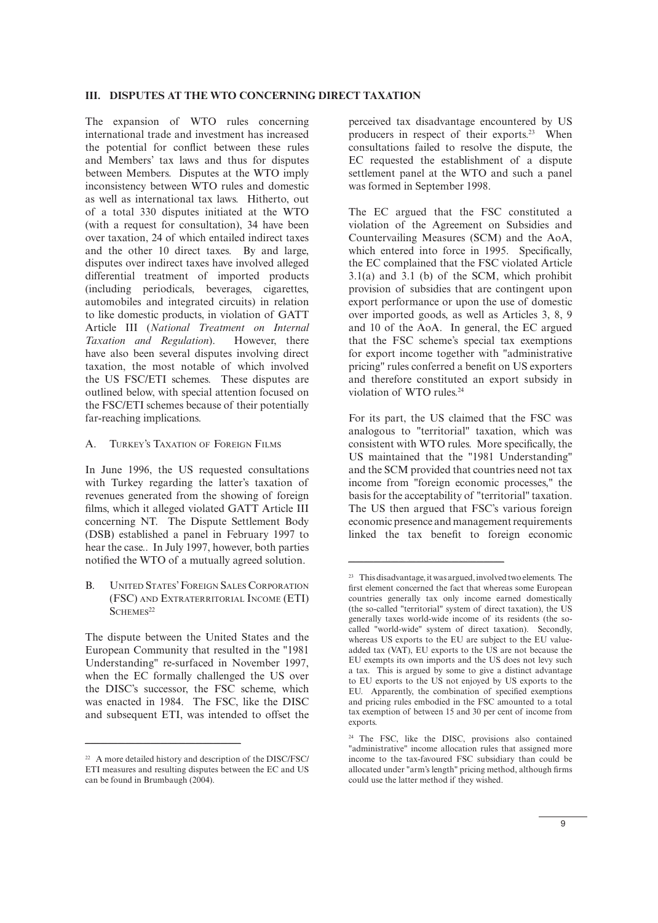## III. DISPUTES AT THE WTO CONCERNING DIRECT TAXATION

The expansion of WTO rules concerning international trade and investment has increased the potential for conflict between these rules and Members' tax laws and thus for disputes between Members. Disputes at the WTO imply inconsistency between WTO rules and domestic as well as international tax laws. Hitherto, out of a total 330 disputes initiated at the WTO (with a request for consultation), 34 have been over taxation, 24 of which entailed indirect taxes and the other 10 direct taxes. By and large, disputes over indirect taxes have involved alleged differential treatment of imported products (including periodicals, beverages, cigarettes, automobiles and integrated circuits) in relation to like domestic products, in violation of GATT Article III (National Treatment on Internal Taxation and Regulation). However, there have also been several disputes involving direct taxation, the most notable of which involved the US FSC/ETI schemes. These disputes are outlined below, with special attention focused on the FSC/ETI schemes because of their potentially far-reaching implications.

### **TURKEY'S TAXATION OF FOREIGN FILMS**  $\Delta$

In June 1996, the US requested consultations with Turkey regarding the latter's taxation of revenues generated from the showing of foreign films, which it alleged violated GATT Article III concerning NT. The Dispute Settlement Body (DSB) established a panel in February 1997 to hear the case.. In July 1997, however, both parties notified the WTO of a mutually agreed solution.

 $B.$ **UNITED STATES' FOREIGN SALES CORPORATION** (FSC) AND EXTRATERRITORIAL INCOME (ETI) SCHEMES<sup>22</sup>

The dispute between the United States and the European Community that resulted in the "1981 Understanding" re-surfaced in November 1997, when the EC formally challenged the US over the DISC's successor, the FSC scheme, which was enacted in 1984. The FSC, like the DISC and subsequent ETI, was intended to offset the

perceived tax disadvantage encountered by US producers in respect of their exports.<sup>23</sup> When consultations failed to resolve the dispute, the EC requested the establishment of a dispute settlement panel at the WTO and such a panel was formed in September 1998.

The EC argued that the FSC constituted a violation of the Agreement on Subsidies and Countervailing Measures (SCM) and the AoA, which entered into force in 1995. Specifically, the EC complained that the FSC violated Article  $3.1(a)$  and  $3.1(b)$  of the SCM, which prohibit provision of subsidies that are contingent upon export performance or upon the use of domestic over imported goods, as well as Articles 3, 8, 9 and 10 of the AoA. In general, the EC argued that the FSC scheme's special tax exemptions for export income together with "administrative pricing" rules conferred a benefit on US exporters and therefore constituted an export subsidy in violation of WTO rules.<sup>24</sup>

For its part, the US claimed that the FSC was analogous to "territorial" taxation, which was consistent with WTO rules. More specifically, the US maintained that the "1981 Understanding" and the SCM provided that countries need not tax income from "foreign economic processes," the basis for the acceptability of "territorial" taxation. The US then argued that FSC's various foreign economic presence and management requirements linked the tax benefit to foreign economic

<sup>&</sup>lt;sup>22</sup> A more detailed history and description of the DISC/FSC/ ETI measures and resulting disputes between the EC and US can be found in Brumbaugh (2004).

<sup>&</sup>lt;sup>23</sup> This disadvantage, it was argued, involved two elements. The first element concerned the fact that whereas some European countries generally tax only income earned domestically (the so-called "territorial" system of direct taxation), the US generally taxes world-wide income of its residents (the socalled "world-wide" system of direct taxation). Secondly, whereas US exports to the EU are subject to the EU valueadded tax (VAT), EU exports to the US are not because the EU exempts its own imports and the US does not levy such a tax. This is argued by some to give a distinct advantage to EU exports to the US not enjoyed by US exports to the EU. Apparently, the combination of specified exemptions and pricing rules embodied in the FSC amounted to a total tax exemption of between 15 and 30 per cent of income from exports.

<sup>&</sup>lt;sup>24</sup> The FSC, like the DISC, provisions also contained "administrative" income allocation rules that assigned more income to the tax-favoured FSC subsidiary than could be allocated under "arm's length" pricing method, although firms could use the latter method if they wished.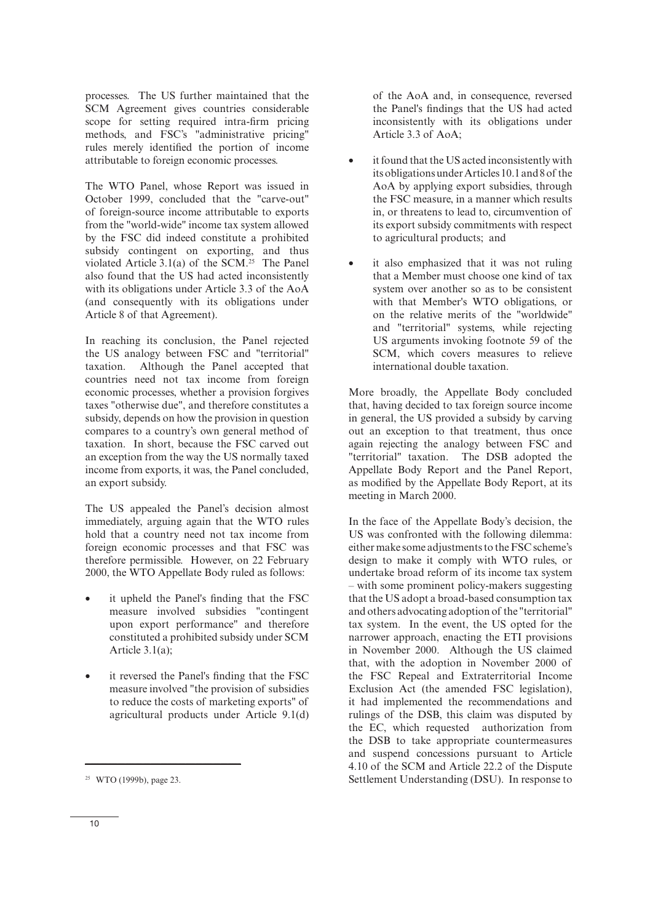processes. The US further maintained that the SCM Agreement gives countries considerable scope for setting required intra-firm pricing methods, and FSC's "administrative pricing"<br>rules merely identified the portion of income attributable to foreign economic processes.

The WTO Panel, whose Report was issued in October 1999, concluded that the "carve-out" of foreign-source income attributable to exports from the "world-wide" income tax system allowed by the FSC did indeed constitute a prohibited subsidy contingent on exporting, and thus violated Article  $3.1(a)$  of the SCM.<sup>25</sup> The Panel also found that the US had acted inconsistently with its obligations under Article 3.3 of the AoA (and consequently with its obligations under Article 8 of that Agreement).

In reaching its conclusion, the Panel rejected the US analogy between FSC and "territorial" taxation. Although the Panel accepted that countries need not tax income from foreign economic processes, whether a provision forgives taxes "otherwise due", and therefore constitutes a subsidy, depends on how the provision in question compares to a country's own general method of taxation. In short, because the FSC carved out an exception from the way the US normally taxed income from exports, it was, the Panel concluded, an export subsidy.

The US appealed the Panel's decision almost immediately, arguing again that the WTO rules hold that a country need not tax income from foreign economic processes and that FSC was therefore permissible. However, on 22 February 2000, the WTO Appellate Body ruled as follows:

- it upheld the Panel's finding that the FSC  $\bullet$ measure involved subsidies "contingent upon export performance" and therefore constituted a prohibited subsidy under SCM Article  $3.1(a)$ ;
- it reversed the Panel's finding that the FSC measure involved "the provision of subsidies to reduce the costs of marketing exports" of agricultural products under Article 9.1(d)

of the AoA and, in consequence, reversed the Panel's findings that the US had acted inconsistently with its obligations under Article 3.3 of AoA:

- it found that the US acted inconsistently with its obligations under Articles 10.1 and 8 of the AoA by applying export subsidies, through the FSC measure, in a manner which results in, or threatens to lead to, circumvention of its export subsidy commitments with respect to agricultural products; and
- it also emphasized that it was not ruling that a Member must choose one kind of tax system over another so as to be consistent with that Member's WTO obligations, or on the relative merits of the "worldwide" and "territorial" systems, while rejecting US arguments invoking footnote 59 of the SCM, which covers measures to relieve international double taxation.

More broadly, the Appellate Body concluded that, having decided to tax foreign source income in general, the US provided a subsidy by carving out an exception to that treatment, thus once again rejecting the analogy between FSC and "territorial" taxation. The DSB adopted the Appellate Body Report and the Panel Report, as modified by the Appellate Body Report, at its meeting in March 2000.

In the face of the Appellate Body's decision, the US was confronted with the following dilemma: either make some adjustments to the FSC scheme's design to make it comply with WTO rules, or undertake broad reform of its income tax system - with some prominent policy-makers suggesting that the US adopt a broad-based consumption tax and others advocating adoption of the "territorial" tax system. In the event, the US opted for the narrower approach, enacting the ETI provisions in November 2000. Although the US claimed that, with the adoption in November 2000 of the FSC Repeal and Extraterritorial Income Exclusion Act (the amended FSC legislation), it had implemented the recommendations and rulings of the DSB, this claim was disputed by the EC, which requested authorization from the DSB to take appropriate countermeasures and suspend concessions pursuant to Article 4.10 of the SCM and Article 22.2 of the Dispute Settlement Understanding (DSU). In response to

<sup>&</sup>lt;sup>25</sup> WTO (1999b), page 23.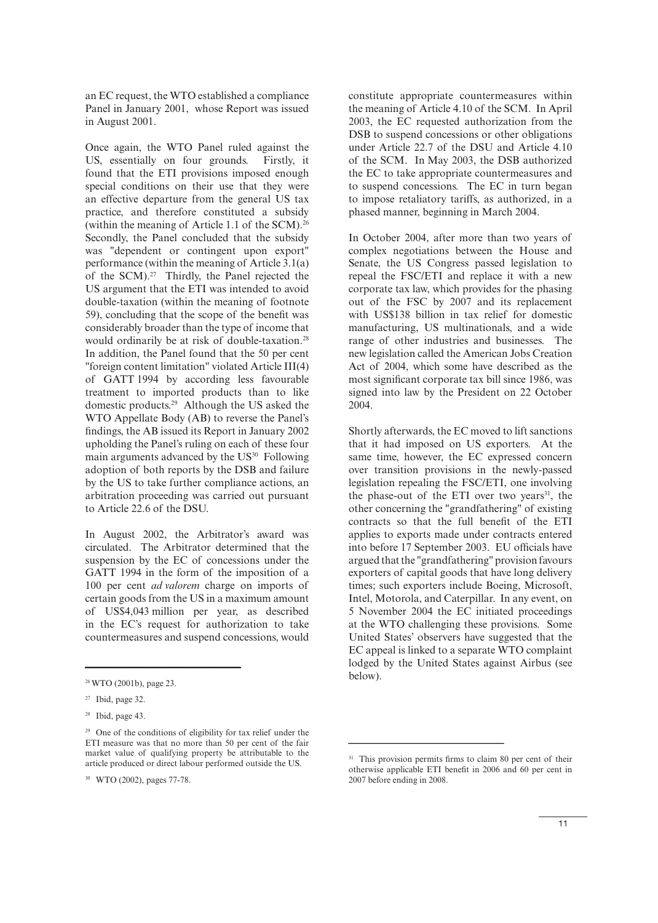an EC request, the WTO established a compliance Panel in January 2001, whose Report was issued in August 2001.

Once again, the WTO Panel ruled against the US, essentially on four grounds. Firstly, it found that the ETI provisions imposed enough special conditions on their use that they were an effective departure from the general US tax practice, and therefore constituted a subsidy (within the meaning of Article 1.1 of the SCM).<sup>26</sup> Secondly, the Panel concluded that the subsidy was "dependent or contingent upon export" performance (within the meaning of Article 3.1(a) of the SCM).<sup>27</sup> Thirdly, the Panel rejected the US argument that the ETI was intended to avoid double-taxation (within the meaning of footnote 59), concluding that the scope of the benefit was considerably broader than the type of income that would ordinarily be at risk of double-taxation.<sup>28</sup> In addition, the Panel found that the 50 per cent "foreign content limitation" violated Article III(4) of GATT 1994 by according less favourable treatment to imported products than to like domestic products.<sup>29</sup> Although the US asked the WTO Appellate Body (AB) to reverse the Panel's findings, the AB issued its Report in January 2002 upholding the Panel's ruling on each of these four main arguments advanced by the US<sup>30</sup> Following adoption of both reports by the DSB and failure by the US to take further compliance actions, an arbitration proceeding was carried out pursuant to Article 22.6 of the DSU.

In August 2002, the Arbitrator's award was circulated. The Arbitrator determined that the suspension by the EC of concessions under the GATT 1994 in the form of the imposition of a 100 per cent *ad valorem* charge on imports of certain goods from the US in a maximum amount of US\$4,043 million per year, as described in the EC's request for authorization to take countermeasures and suspend concessions, would constitute appropriate countermeasures within the meaning of Article 4.10 of the SCM. In April 2003, the EC requested authorization from the DSB to suspend concessions or other obligations under Article 22.7 of the DSU and Article 4.10 of the SCM. In May 2003, the DSB authorized the EC to take appropriate countermeasures and to suspend concessions. The EC in turn began to impose retaliatory tariffs, as authorized, in a phased manner, beginning in March 2004.

In October 2004, after more than two years of complex negotiations between the House and Senate, the US Congress passed legislation to repeal the FSC/ETI and replace it with a new corporate tax law, which provides for the phasing out of the FSC by 2007 and its replacement with US\$138 billion in tax relief for domestic manufacturing, US multinationals, and a wide range of other industries and businesses. The new legislation called the American Jobs Creation Act of 2004, which some have described as the most significant corporate tax bill since 1986, was signed into law by the President on 22 October 2004.

Shortly afterwards, the EC moved to lift sanctions that it had imposed on US exporters. At the same time, however, the EC expressed concern over transition provisions in the newly-passed legislation repealing the FSC/ETI, one involving the phase-out of the ETI over two years<sup>31</sup>, the other concerning the "grandfathering" of existing contracts so that the full benefit of the ETI applies to exports made under contracts entered into before 17 September 2003. EU officials have argued that the "grandfathering" provision favours exporters of capital goods that have long delivery times; such exporters include Boeing, Microsoft, Intel, Motorola, and Caterpillar. In any event, on 5 November 2004 the EC initiated proceedings at the WTO challenging these provisions. Some United States' observers have suggested that the EC appeal is linked to a separate WTO complaint lodged by the United States against Airbus (see below).

<sup>&</sup>lt;sup>26</sup> WTO (2001b), page 23.

<sup>&</sup>lt;sup>27</sup> Ibid, page 32.

 $28$  Ibid, page 43.

<sup>&</sup>lt;sup>29</sup> One of the conditions of eligibility for tax relief under the ETI measure was that no more than 50 per cent of the fair market value of qualifying property be attributable to the article produced or direct labour performed outside the US.

<sup>&</sup>lt;sup>30</sup> WTO (2002), pages 77-78.

<sup>&</sup>lt;sup>31</sup> This provision permits firms to claim 80 per cent of their otherwise applicable ETI benefit in 2006 and 60 per cent in 2007 before ending in 2008.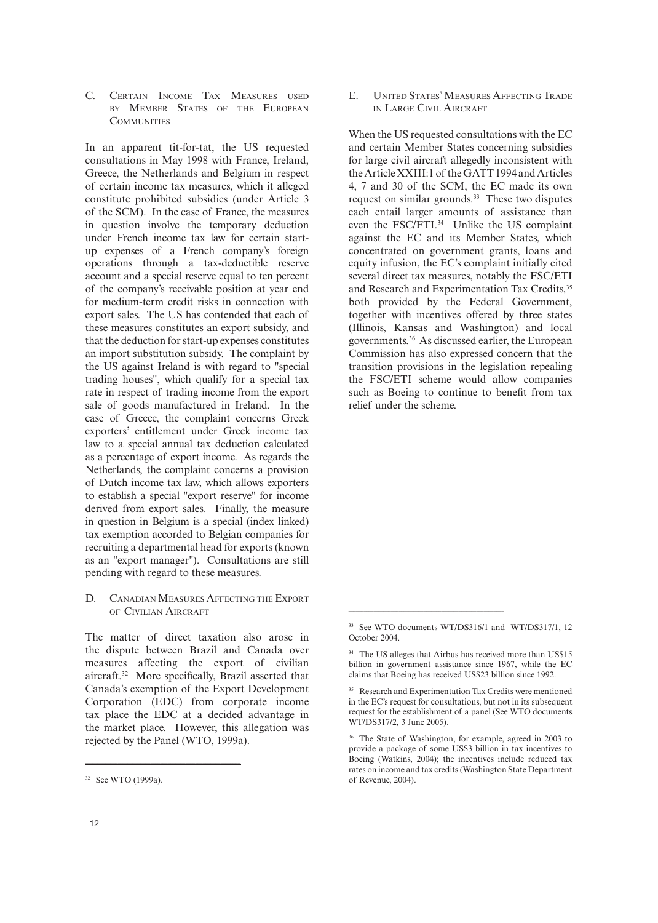CERTAIN INCOME TAX MEASURES USED  $\mathbf{C}$ BY MEMBER STATES OF THE EUROPEAN **COMMUNITIES** 

In an apparent tit-for-tat, the US requested consultations in May 1998 with France, Ireland, Greece, the Netherlands and Belgium in respect of certain income tax measures, which it alleged constitute prohibited subsidies (under Article 3 of the SCM). In the case of France, the measures in question involve the temporary deduction under French income tax law for certain startup expenses of a French company's foreign operations through a tax-deductible reserve account and a special reserve equal to ten percent of the company's receivable position at year end for medium-term credit risks in connection with export sales. The US has contended that each of these measures constitutes an export subsidy, and that the deduction for start-up expenses constitutes an import substitution subsidy. The complaint by the US against Ireland is with regard to "special trading houses", which qualify for a special tax rate in respect of trading income from the export sale of goods manufactured in Ireland. In the case of Greece, the complaint concerns Greek exporters' entitlement under Greek income tax law to a special annual tax deduction calculated as a percentage of export income. As regards the Netherlands, the complaint concerns a provision of Dutch income tax law, which allows exporters to establish a special "export reserve" for income derived from export sales. Finally, the measure in question in Belgium is a special (index linked) tax exemption accorded to Belgian companies for recruiting a departmental head for exports (known as an "export manager"). Consultations are still pending with regard to these measures.

D. CANADIAN MEASURES AFFECTING THE EXPORT OF CIVILIAN AIRCRAFT

The matter of direct taxation also arose in the dispute between Brazil and Canada over measures affecting the export of civilian aircraft.<sup>32</sup> More specifically, Brazil asserted that Canada's exemption of the Export Development Corporation (EDC) from corporate income tax place the EDC at a decided advantage in the market place. However, this allegation was rejected by the Panel (WTO, 1999a).

**UNITED STATES' MEASURES AFFECTING TRADE**  $E_{\perp}$ IN LARGE CIVIL AIRCRAFT

When the US requested consultations with the EC and certain Member States concerning subsidies for large civil aircraft allegedly inconsistent with the Article XXIII:1 of the GATT 1994 and Articles 4, 7 and 30 of the SCM, the EC made its own request on similar grounds.<sup>33</sup> These two disputes each entail larger amounts of assistance than even the FSC/FTI.<sup>34</sup> Unlike the US complaint against the EC and its Member States, which concentrated on government grants, loans and equity infusion, the EC's complaint initially cited several direct tax measures, notably the FSC/ETI and Research and Experimentation Tax Credits, 35 both provided by the Federal Government, together with incentives offered by three states (Illinois, Kansas and Washington) and local governments.<sup>36</sup> As discussed earlier, the European Commission has also expressed concern that the transition provisions in the legislation repealing the FSC/ETI scheme would allow companies such as Boeing to continue to benefit from tax relief under the scheme.

<sup>&</sup>lt;sup>32</sup> See WTO (1999a).

<sup>&</sup>lt;sup>33</sup> See WTO documents WT/DS316/1 and WT/DS317/1, 12 October 2004

<sup>&</sup>lt;sup>34</sup> The US alleges that Airbus has received more than US\$15 billion in government assistance since 1967, while the EC claims that Boeing has received US\$23 billion since 1992.

<sup>&</sup>lt;sup>35</sup> Research and Experimentation Tax Credits were mentioned in the EC's request for consultations, but not in its subsequent request for the establishment of a panel (See WTO documents WT/DS317/2, 3 June 2005).

The State of Washington, for example, agreed in 2003 to provide a package of some US\$3 billion in tax incentives to Boeing (Watkins, 2004); the incentives include reduced tax rates on income and tax credits (Washington State Department of Revenue, 2004).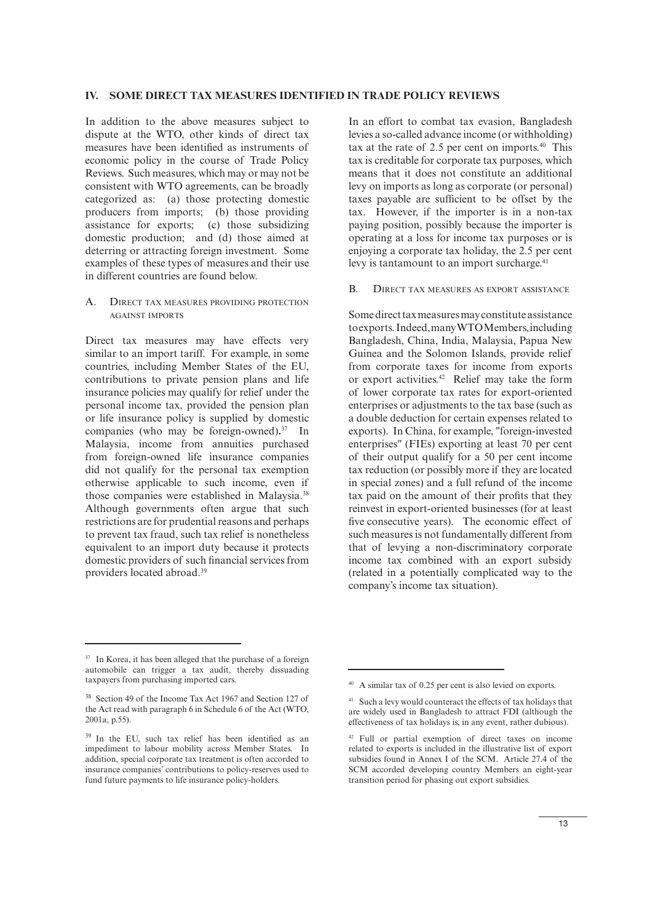## IV. SOME DIRECT TAX MEASURES IDENTIFIED IN TRADE POLICY REVIEWS

In addition to the above measures subject to dispute at the WTO, other kinds of direct tax measures have been identified as instruments of economic policy in the course of Trade Policy Reviews. Such measures, which may or may not be consistent with WTO agreements, can be broadly categorized as: (a) those protecting domestic producers from imports; (b) those providing assistance for exports; (c) those subsidizing domestic production; and (d) those aimed at deterring or attracting foreign investment. Some examples of these types of measures and their use in different countries are found below.

 $A_{\cdot}$ **DIRECT TAX MEASURES PROVIDING PROTECTION AGAINST IMPORTS** 

Direct tax measures may have effects very similar to an import tariff. For example, in some countries, including Member States of the EU, contributions to private pension plans and life insurance policies may qualify for relief under the personal income tax, provided the pension plan or life insurance policy is supplied by domestic companies (who may be foreign-owned).<sup>37</sup> In Malaysia, income from annuities purchased from foreign-owned life insurance companies did not qualify for the personal tax exemption otherwise applicable to such income, even if those companies were established in Malaysia.<sup>38</sup> Although governments often argue that such restrictions are for prudential reasons and perhaps to prevent tax fraud, such tax relief is nonetheless equivalent to an import duty because it protects domestic providers of such financial services from providers located abroad.<sup>39</sup>

In an effort to combat tax evasion, Bangladesh levies a so-called advance income (or withholding) tax at the rate of 2.5 per cent on imports.<sup>40</sup> This tax is creditable for corporate tax purposes, which means that it does not constitute an additional levy on imports as long as corporate (or personal) taxes payable are sufficient to be offset by the tax. However, if the importer is in a non-tax paying position, possibly because the importer is operating at a loss for income tax purposes or is enjoying a corporate tax holiday, the 2.5 per cent levy is tantamount to an import surcharge.<sup>41</sup>

#### $\mathbf{R}$ **DIRECT TAX MEASURES AS EXPORT ASSISTANCE**

Some direct tax measures may constitute assistance to exports. Indeed, many WTO Members, including Bangladesh, China, India, Malaysia, Papua New Guinea and the Solomon Islands, provide relief from corporate taxes for income from exports or export activities.<sup>42</sup> Relief may take the form of lower corporate tax rates for export-oriented enterprises or adjustments to the tax base (such as a double deduction for certain expenses related to exports). In China, for example, "foreign-invested enterprises" (FIEs) exporting at least 70 per cent of their output qualify for a 50 per cent income tax reduction (or possibly more if they are located in special zones) and a full refund of the income tax paid on the amount of their profits that they reinvest in export-oriented businesses (for at least five consecutive years). The economic effect of such measures is not fundamentally different from that of levying a non-discriminatory corporate income tax combined with an export subsidy (related in a potentially complicated way to the company's income tax situation).

<sup>&</sup>lt;sup>37</sup> In Korea, it has been alleged that the purchase of a foreign automobile can trigger a tax audit, thereby dissuading taxpayers from purchasing imported cars.

<sup>&</sup>lt;sup>38</sup> Section 49 of the Income Tax Act 1967 and Section 127 of the Act read with paragraph 6 in Schedule 6 of the Act (WTO, 2001a, p.55).

<sup>&</sup>lt;sup>39</sup> In the EU, such tax relief has been identified as an impediment to labour mobility across Member States. In addition, special corporate tax treatment is often accorded to insurance companies' contributions to policy-reserves used to fund future payments to life insurance policy-holders.

<sup>&</sup>lt;sup>40</sup> A similar tax of 0.25 per cent is also levied on exports.

 $41$ Such a levy would counteract the effects of tax holidays that are widely used in Bangladesh to attract FDI (although the effectiveness of tax holidays is, in any event, rather dubious).

Full or partial exemption of direct taxes on income related to exports is included in the illustrative list of export subsidies found in Annex I of the SCM. Article 27.4 of the SCM accorded developing country Members an eight-year transition period for phasing out export subsidies.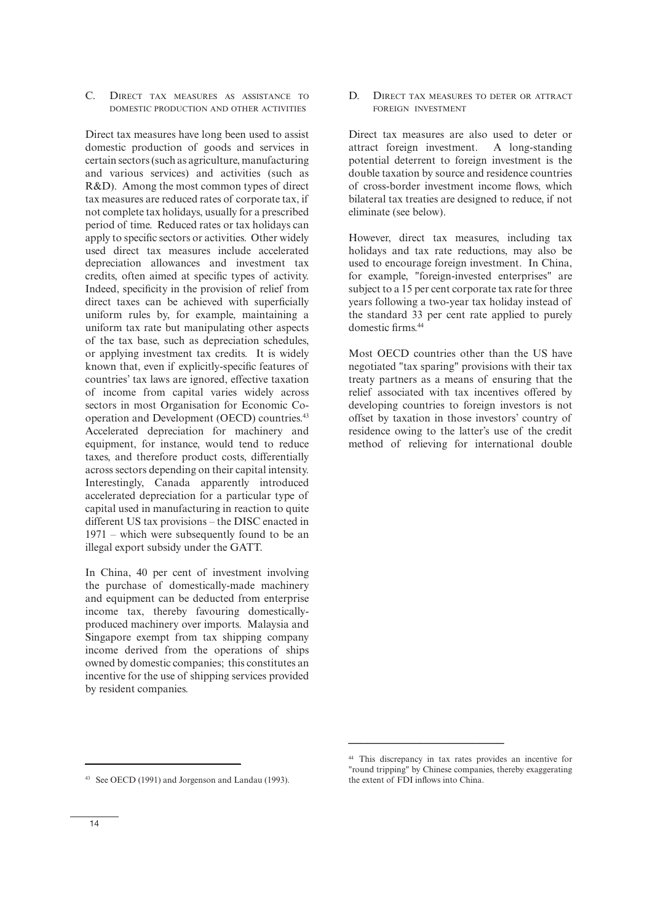$\mathcal{C}$ DIRECT TAX MEASURES AS ASSISTANCE TO DOMESTIC PRODUCTION AND OTHER ACTIVITIES

Direct tax measures have long been used to assist domestic production of goods and services in certain sectors (such as agriculture, manufacturing and various services) and activities (such as R&D). Among the most common types of direct tax measures are reduced rates of corporate tax, if not complete tax holidays, usually for a prescribed period of time. Reduced rates or tax holidays can apply to specific sectors or activities. Other widely used direct tax measures include accelerated depreciation allowances and investment tax credits, often aimed at specific types of activity. Indeed, specificity in the provision of relief from direct taxes can be achieved with superficially uniform rules by, for example, maintaining a uniform tax rate but manipulating other aspects of the tax base, such as depreciation schedules, or applying investment tax credits. It is widely known that, even if explicitly-specific features of countries' tax laws are ignored, effective taxation of income from capital varies widely across sectors in most Organisation for Economic Cooperation and Development (OECD) countries.<sup>43</sup> Accelerated depreciation for machinery and equipment, for instance, would tend to reduce taxes, and therefore product costs, differentially across sectors depending on their capital intensity. Interestingly, Canada apparently introduced accelerated depreciation for a particular type of capital used in manufacturing in reaction to quite different US tax provisions - the DISC enacted in  $1971$  – which were subsequently found to be an illegal export subsidy under the GATT.

In China, 40 per cent of investment involving the purchase of domestically-made machinery and equipment can be deducted from enterprise income tax, thereby favouring domesticallyproduced machinery over imports. Malaysia and Singapore exempt from tax shipping company income derived from the operations of ships owned by domestic companies; this constitutes an incentive for the use of shipping services provided by resident companies.

 $\mathbf{D}$ **DIRECT TAX MEASURES TO DETER OR ATTRACT** FOREIGN INVESTMENT

Direct tax measures are also used to deter or attract foreign investment. A long-standing potential deterrent to foreign investment is the double taxation by source and residence countries of cross-border investment income flows, which bilateral tax treaties are designed to reduce, if not eliminate (see below).

However, direct tax measures, including tax holidays and tax rate reductions, may also be used to encourage foreign investment. In China, for example, "foreign-invested enterprises" are subject to a 15 per cent corporate tax rate for three years following a two-year tax holiday instead of the standard 33 per cent rate applied to purely domestic firms.<sup>44</sup>

Most OECD countries other than the US have negotiated "tax sparing" provisions with their tax treaty partners as a means of ensuring that the relief associated with tax incentives offered by developing countries to foreign investors is not offset by taxation in those investors' country of residence owing to the latter's use of the credit method of relieving for international double

<sup>&</sup>lt;sup>44</sup> This discrepancy in tax rates provides an incentive for "round tripping" by Chinese companies, thereby exaggerating the extent of FDI inflows into China.

<sup>&</sup>lt;sup>43</sup> See OECD (1991) and Jorgenson and Landau (1993).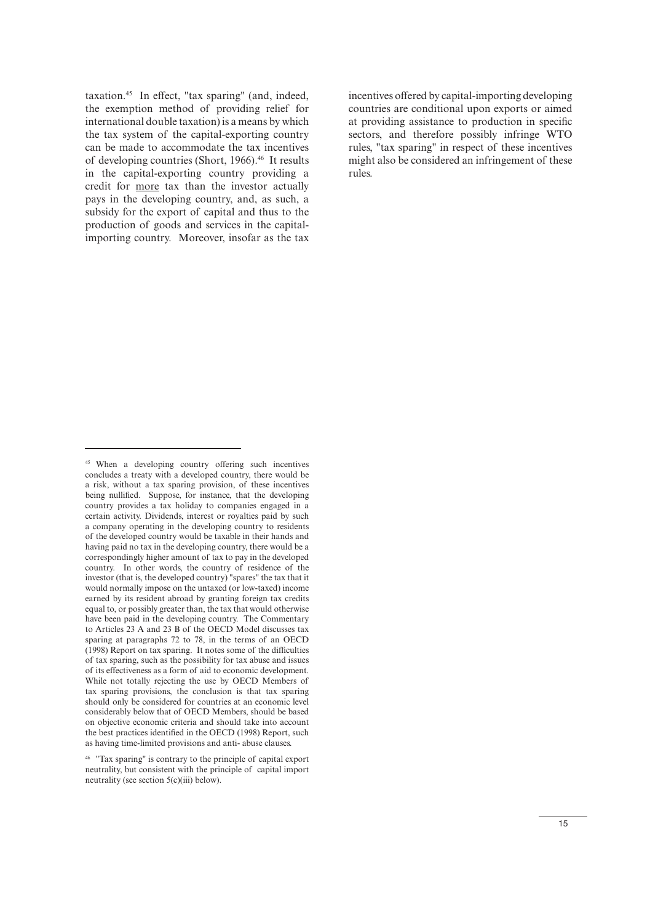taxation.<sup>45</sup> In effect, "tax sparing" (and, indeed, the exemption method of providing relief for international double taxation) is a means by which the tax system of the capital-exporting country can be made to accommodate the tax incentives of developing countries (Short, 1966).<sup>46</sup> It results in the capital-exporting country providing a credit for more tax than the investor actually pays in the developing country, and, as such, a subsidy for the export of capital and thus to the production of goods and services in the capitalimporting country. Moreover, insofar as the tax

incentives offered by capital-importing developing countries are conditional upon exports or aimed at providing assistance to production in specific sectors, and therefore possibly infringe WTO rules, "tax sparing" in respect of these incentives might also be considered an infringement of these rules.

<sup>&</sup>lt;sup>45</sup> When a developing country offering such incentives concludes a treaty with a developed country, there would be a risk, without a tax sparing provision, of these incentives being nullified. Suppose, for instance, that the developing country provides a tax holiday to companies engaged in a certain activity. Dividends, interest or royalties paid by such a company operating in the developing country to residents of the developed country would be taxable in their hands and having paid no tax in the developing country, there would be a correspondingly higher amount of tax to pay in the developed country. In other words, the country of residence of the investor (that is, the developed country) "spares" the tax that it would normally impose on the untaxed (or low-taxed) income earned by its resident abroad by granting foreign tax credits equal to, or possibly greater than, the tax that would otherwise have been paid in the developing country. The Commentary to Articles 23 A and 23 B of the OECD Model discusses tax sparing at paragraphs 72 to 78, in the terms of an OECD (1998) Report on tax sparing. It notes some of the difficulties of tax sparing, such as the possibility for tax abuse and issues of its effectiveness as a form of aid to economic development. While not totally rejecting the use by OECD Members of tax sparing provisions, the conclusion is that tax sparing should only be considered for countries at an economic level considerably below that of OECD Members, should be based on objective economic criteria and should take into account the best practices identified in the OECD (1998) Report, such as having time-limited provisions and anti-abuse clauses.

<sup>&</sup>lt;sup>46</sup> "Tax sparing" is contrary to the principle of capital export neutrality, but consistent with the principle of capital import neutrality (see section 5(c)(iii) below).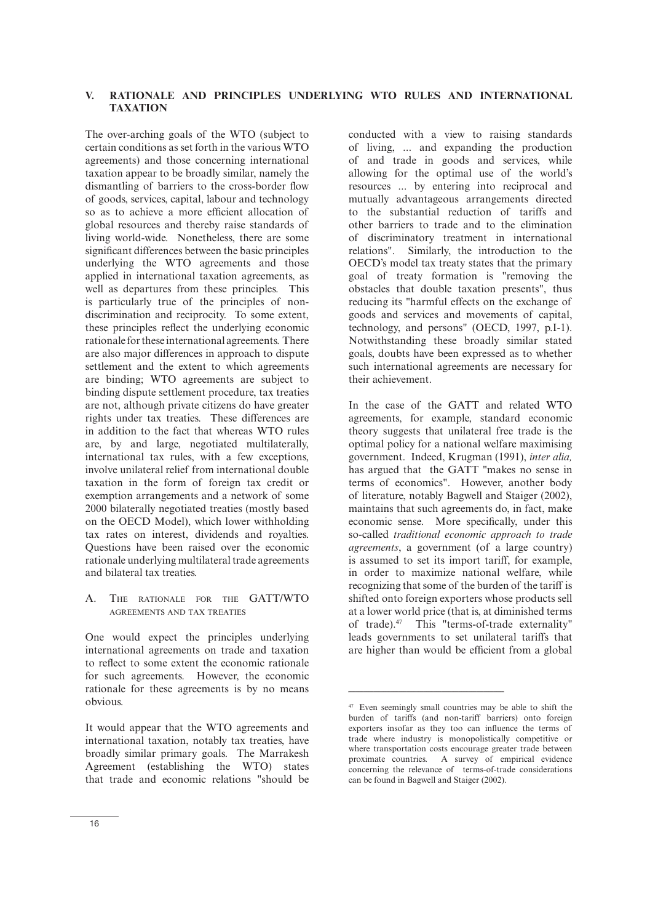## $V_{\cdot}$ RATIONALE AND PRINCIPLES UNDERLYING WTO RULES AND INTERNATIONAL **TAXATION**

The over-arching goals of the WTO (subject to certain conditions as set forth in the various WTO agreements) and those concerning international taxation appear to be broadly similar, namely the dismantling of barriers to the cross-border flow of goods, services, capital, labour and technology so as to achieve a more efficient allocation of global resources and thereby raise standards of living world-wide. Nonetheless, there are some significant differences between the basic principles underlying the WTO agreements and those applied in international taxation agreements, as well as departures from these principles. This is particularly true of the principles of nondiscrimination and reciprocity. To some extent, these principles reflect the underlying economic rationale for these international agreements. There are also major differences in approach to dispute settlement and the extent to which agreements are binding; WTO agreements are subject to binding dispute settlement procedure, tax treaties are not, although private citizens do have greater rights under tax treaties. These differences are in addition to the fact that whereas WTO rules are, by and large, negotiated multilaterally, international tax rules, with a few exceptions, involve unilateral relief from international double taxation in the form of foreign tax credit or exemption arrangements and a network of some 2000 bilaterally negotiated treaties (mostly based on the OECD Model), which lower withholding tax rates on interest, dividends and royalties. Questions have been raised over the economic rationale underlying multilateral trade agreements and bilateral tax treaties.

### $A_{\cdot}$ THE RATIONALE FOR THE GATT/WTO AGREEMENTS AND TAX TREATIES

One would expect the principles underlying international agreements on trade and taxation to reflect to some extent the economic rationale for such agreements. However, the economic rationale for these agreements is by no means obvious.

It would appear that the WTO agreements and international taxation, notably tax treaties, have broadly similar primary goals. The Marrakesh Agreement (establishing the WTO) states that trade and economic relations "should be

conducted with a view to raising standards of living, ... and expanding the production of and trade in goods and services, while allowing for the optimal use of the world's resources ... by entering into reciprocal and mutually advantageous arrangements directed to the substantial reduction of tariffs and other barriers to trade and to the elimination of discriminatory treatment in international relations". Similarly, the introduction to the OECD's model tax treaty states that the primary goal of treaty formation is "removing the obstacles that double taxation presents", thus reducing its "harmful effects on the exchange of goods and services and movements of capital, technology, and persons" (OECD, 1997, p.I-1). Notwithstanding these broadly similar stated goals, doubts have been expressed as to whether such international agreements are necessary for their achievement.

In the case of the GATT and related WTO agreements, for example, standard economic theory suggests that unilateral free trade is the optimal policy for a national welfare maximising government. Indeed, Krugman (1991), inter alia, has argued that the GATT "makes no sense in terms of economics". However, another body of literature, notably Bagwell and Staiger (2002), maintains that such agreements do, in fact, make economic sense. More specifically, under this so-called traditional economic approach to trade *agreements*, a government (of a large country) is assumed to set its import tariff, for example. in order to maximize national welfare, while recognizing that some of the burden of the tariff is shifted onto foreign exporters whose products sell at a lower world price (that is, at diminished terms) of trade).<sup>47</sup> This "terms-of-trade externality" leads governments to set unilateral tariffs that are higher than would be efficient from a global

<sup>&</sup>lt;sup>47</sup> Even seemingly small countries may be able to shift the burden of tariffs (and non-tariff barriers) onto foreign exporters insofar as they too can influence the terms of trade where industry is monopolistically competitive or where transportation costs encourage greater trade between proximate countries. A survey of empirical evidence concerning the relevance of terms-of-trade considerations can be found in Bagwell and Staiger (2002).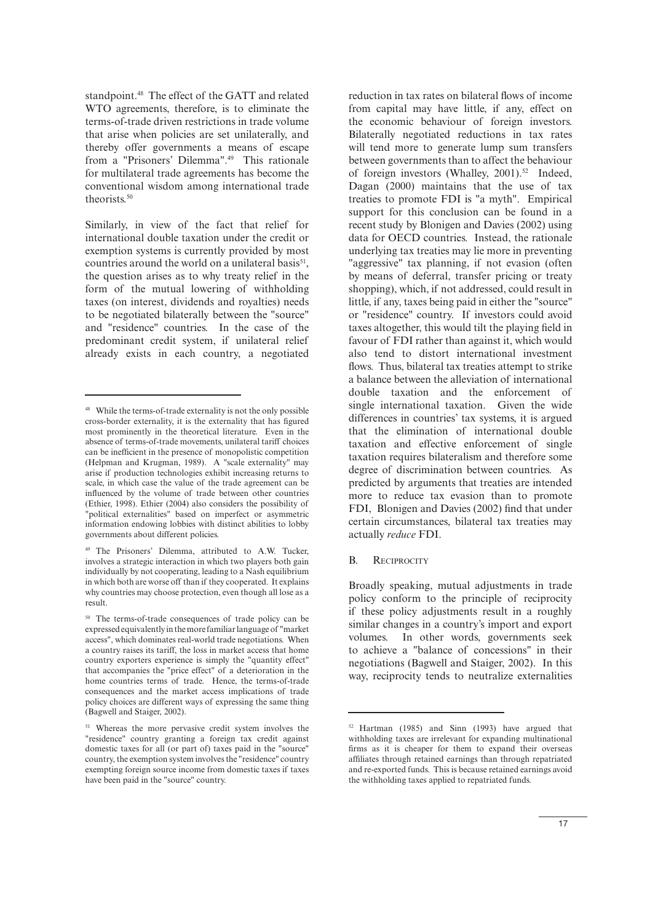standpoint.<sup>48</sup> The effect of the GATT and related WTO agreements, therefore, is to eliminate the terms-of-trade driven restrictions in trade volume that arise when policies are set unilaterally, and thereby offer governments a means of escape from a "Prisoners' Dilemma".<sup>49</sup> This rationale for multilateral trade agreements has become the conventional wisdom among international trade theorists.<sup>50</sup>

Similarly, in view of the fact that relief for international double taxation under the credit or exemption systems is currently provided by most countries around the world on a unilateral basis<sup>51</sup>, the question arises as to why treaty relief in the form of the mutual lowering of withholding taxes (on interest, dividends and royalties) needs to be negotiated bilaterally between the "source" and "residence" countries. In the case of the predominant credit system, if unilateral relief already exists in each country, a negotiated

reduction in tax rates on bilateral flows of income from capital may have little, if any, effect on the economic behaviour of foreign investors. Bilaterally negotiated reductions in tax rates will tend more to generate lump sum transfers between governments than to affect the behaviour of foreign investors (Whalley, 2001).<sup>52</sup> Indeed, Dagan (2000) maintains that the use of tax treaties to promote FDI is "a myth". Empirical support for this conclusion can be found in a recent study by Blonigen and Davies (2002) using data for OECD countries. Instead, the rationale underlying tax treaties may lie more in preventing "aggressive" tax planning, if not evasion (often by means of deferral, transfer pricing or treaty shopping), which, if not addressed, could result in little, if any, taxes being paid in either the "source" or "residence" country. If investors could avoid taxes altogether, this would tilt the playing field in favour of FDI rather than against it, which would also tend to distort international investment flows. Thus, bilateral tax treaties attempt to strike a balance between the alleviation of international double taxation and the enforcement of single international taxation. Given the wide differences in countries' tax systems, it is argued that the elimination of international double taxation and effective enforcement of single taxation requires bilateralism and therefore some degree of discrimination between countries. As predicted by arguments that treaties are intended more to reduce tax evasion than to promote FDI, Blonigen and Davies (2002) find that under certain circumstances, bilateral tax treaties may actually reduce FDI.

#### **RECIPROCITY**  $\mathbf{B}$

Broadly speaking, mutual adjustments in trade policy conform to the principle of reciprocity if these policy adjustments result in a roughly similar changes in a country's import and export volumes. In other words, governments seek to achieve a "balance of concessions" in their negotiations (Bagwell and Staiger, 2002). In this way, reciprocity tends to neutralize externalities

<sup>&</sup>lt;sup>48</sup> While the terms-of-trade externality is not the only possible cross-border externality, it is the externality that has figured most prominently in the theoretical literature. Even in the absence of terms-of-trade movements, unilateral tariff choices can be inefficient in the presence of monopolistic competition (Helpman and Krugman, 1989). A "scale externality" may arise if production technologies exhibit increasing returns to scale, in which case the value of the trade agreement can be influenced by the volume of trade between other countries (Ethier, 1998). Ethier (2004) also considers the possibility of "political externalities" based on imperfect or asymmetric information endowing lobbies with distinct abilities to lobby governments about different policies.

<sup>&</sup>lt;sup>49</sup> The Prisoners' Dilemma, attributed to A.W. Tucker, involves a strategic interaction in which two players both gain individually by not cooperating, leading to a Nash equilibrium in which both are worse off than if they cooperated. It explains why countries may choose protection, even though all lose as a result.

<sup>&</sup>lt;sup>50</sup> The terms-of-trade consequences of trade policy can be expressed equivalently in the more familiar language of "market" access", which dominates real-world trade negotiations. When a country raises its tariff, the loss in market access that home country exporters experience is simply the "quantity effect" that accompanies the "price effect" of a deterioration in the home countries terms of trade. Hence, the terms-of-trade consequences and the market access implications of trade policy choices are different ways of expressing the same thing (Bagwell and Staiger, 2002).

<sup>&</sup>lt;sup>51</sup> Whereas the more pervasive credit system involves the "residence" country granting a foreign tax credit against domestic taxes for all (or part of) taxes paid in the "source" country, the exemption system involves the "residence" country exempting foreign source income from domestic taxes if taxes have been paid in the "source" country.

<sup>&</sup>lt;sup>52</sup> Hartman (1985) and Sinn (1993) have argued that withholding taxes are irrelevant for expanding multinational firms as it is cheaper for them to expand their overseas affiliates through retained earnings than through repatriated and re-exported funds. This is because retained earnings avoid the withholding taxes applied to repatriated funds.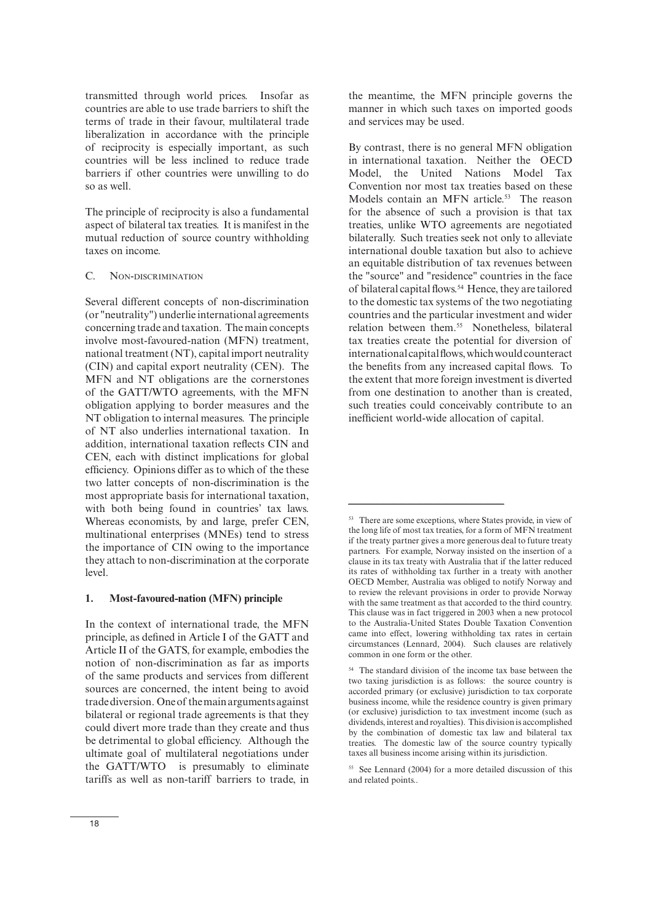transmitted through world prices. Insofar as countries are able to use trade barriers to shift the terms of trade in their favour, multilateral trade liberalization in accordance with the principle of reciprocity is especially important, as such countries will be less inclined to reduce trade barriers if other countries were unwilling to do so as well.

The principle of reciprocity is also a fundamental aspect of bilateral tax treaties. It is manifest in the mutual reduction of source country withholding taxes on income.

#### $\mathcal{C}$ . NON-DISCRIMINATION

Several different concepts of non-discrimination (or "neutrality") underlie international agreements concerning trade and taxation. The main concepts involve most-favoured-nation (MFN) treatment, national treatment (NT), capital import neutrality (CIN) and capital export neutrality (CEN). The MFN and NT obligations are the cornerstones of the GATT/WTO agreements, with the MFN obligation applying to border measures and the NT obligation to internal measures. The principle of NT also underlies international taxation. In addition, international taxation reflects CIN and CEN, each with distinct implications for global efficiency. Opinions differ as to which of the these two latter concepts of non-discrimination is the most appropriate basis for international taxation, with both being found in countries' tax laws. Whereas economists, by and large, prefer CEN, multinational enterprises (MNEs) tend to stress the importance of CIN owing to the importance they attach to non-discrimination at the corporate level.

#### 1. **Most-favoured-nation (MFN) principle**

In the context of international trade, the MFN principle, as defined in Article I of the GATT and Article II of the GATS, for example, embodies the notion of non-discrimination as far as imports of the same products and services from different sources are concerned, the intent being to avoid trade diversion. One of the main arguments against bilateral or regional trade agreements is that they could divert more trade than they create and thus be detrimental to global efficiency. Although the ultimate goal of multilateral negotiations under the GATT/WTO is presumably to eliminate tariffs as well as non-tariff barriers to trade, in

the meantime, the MFN principle governs the manner in which such taxes on imported goods and services may be used.

By contrast, there is no general MFN obligation in international taxation. Neither the OECD Model. the United Nations Model Tax Convention nor most tax treaties based on these Models contain an MFN article.<sup>53</sup> The reason for the absence of such a provision is that tax treaties, unlike WTO agreements are negotiated bilaterally. Such treaties seek not only to alleviate international double taxation but also to achieve an equitable distribution of tax revenues between the "source" and "residence" countries in the face of bilateral capital flows.<sup>54</sup> Hence, they are tailored to the domestic tax systems of the two negotiating countries and the particular investment and wider relation between them.<sup>55</sup> Nonetheless, bilateral tax treaties create the potential for diversion of international capital flows, which would counteract the benefits from any increased capital flows. To the extent that more foreign investment is diverted from one destination to another than is created, such treaties could conceivably contribute to an inefficient world-wide allocation of capital.

<sup>&</sup>lt;sup>53</sup> There are some exceptions, where States provide, in view of the long life of most tax treaties, for a form of MFN treatment if the treaty partner gives a more generous deal to future treaty partners. For example, Norway insisted on the insertion of a clause in its tax treaty with Australia that if the latter reduced its rates of withholding tax further in a treaty with another OECD Member, Australia was obliged to notify Norway and to review the relevant provisions in order to provide Norway with the same treatment as that accorded to the third country. This clause was in fact triggered in 2003 when a new protocol to the Australia-United States Double Taxation Convention came into effect, lowering withholding tax rates in certain circumstances (Lennard, 2004). Such clauses are relatively common in one form or the other.

<sup>&</sup>lt;sup>54</sup> The standard division of the income tax base between the two taxing jurisdiction is as follows: the source country is accorded primary (or exclusive) jurisdiction to tax corporate business income, while the residence country is given primary (or exclusive) jurisdiction to tax investment income (such as dividends, interest and royalties). This division is accomplished by the combination of domestic tax law and bilateral tax treaties. The domestic law of the source country typically taxes all business income arising within its jurisdiction.

<sup>&</sup>lt;sup>55</sup> See Lennard (2004) for a more detailed discussion of this and related points..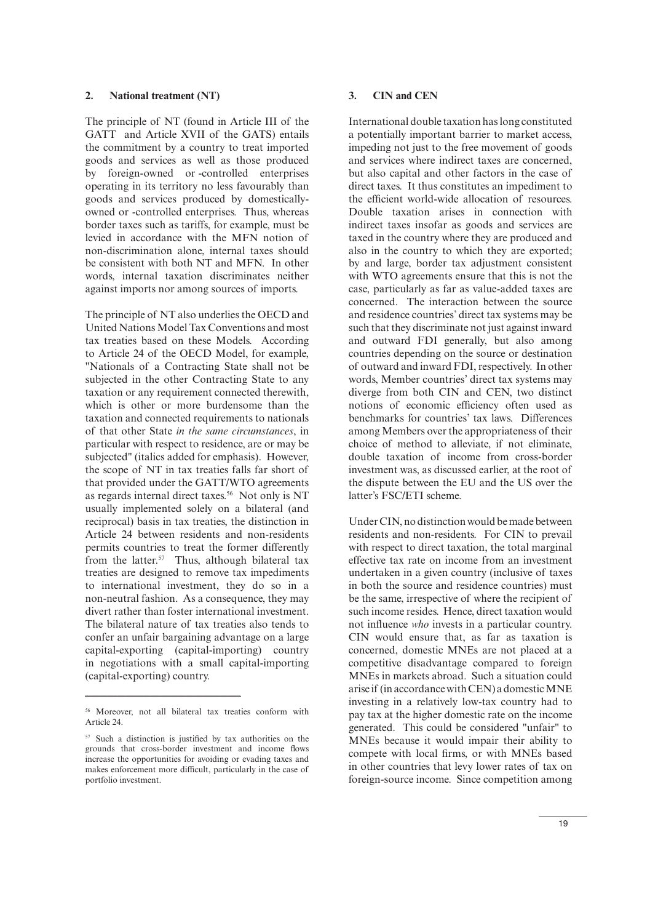#### $2.$ **National treatment (NT)**

The principle of NT (found in Article III of the GATT and Article XVII of the GATS) entails the commitment by a country to treat imported goods and services as well as those produced by foreign-owned or-controlled enterprises operating in its territory no less favourably than goods and services produced by domesticallyowned or -controlled enterprises. Thus, whereas border taxes such as tariffs, for example, must be levied in accordance with the MFN notion of non-discrimination alone, internal taxes should be consistent with both NT and MFN. In other words, internal taxation discriminates neither against imports nor among sources of imports.

The principle of NT also underlies the OECD and United Nations Model Tax Conventions and most tax treaties based on these Models. According to Article 24 of the OECD Model, for example, "Nationals of a Contracting State shall not be subjected in the other Contracting State to any taxation or any requirement connected therewith, which is other or more burdensome than the taxation and connected requirements to nationals of that other State in the same circumstances, in particular with respect to residence, are or may be subjected" (italics added for emphasis). However, the scope of NT in tax treaties falls far short of that provided under the GATT/WTO agreements as regards internal direct taxes.<sup>56</sup> Not only is NT usually implemented solely on a bilateral (and reciprocal) basis in tax treaties, the distinction in Article 24 between residents and non-residents permits countries to treat the former differently from the latter.<sup>57</sup> Thus, although bilateral tax treaties are designed to remove tax impediments to international investment, they do so in a non-neutral fashion. As a consequence, they may divert rather than foster international investment. The bilateral nature of tax treaties also tends to confer an unfair bargaining advantage on a large capital-exporting (capital-importing) country in negotiations with a small capital-importing (capital-exporting) country.

### **CIN** and **CEN**  $\overline{3}$ .

International double taxation has long constituted a potentially important barrier to market access. impeding not just to the free movement of goods and services where indirect taxes are concerned. but also capital and other factors in the case of direct taxes. It thus constitutes an impediment to the efficient world-wide allocation of resources. Double taxation arises in connection with indirect taxes insofar as goods and services are taxed in the country where they are produced and also in the country to which they are exported; by and large, border tax adjustment consistent with WTO agreements ensure that this is not the case, particularly as far as value-added taxes are concerned. The interaction between the source and residence countries' direct tax systems may be such that they discriminate not just against inward and outward FDI generally, but also among countries depending on the source or destination of outward and inward FDI, respectively. In other words, Member countries' direct tax systems may diverge from both CIN and CEN, two distinct notions of economic efficiency often used as benchmarks for countries' tax laws. Differences among Members over the appropriateness of their choice of method to alleviate, if not eliminate. double taxation of income from cross-border investment was, as discussed earlier, at the root of the dispute between the EU and the US over the latter's FSC/ETI scheme.

Under CIN, no distinction would be made between residents and non-residents. For CIN to prevail with respect to direct taxation, the total marginal effective tax rate on income from an investment undertaken in a given country (inclusive of taxes in both the source and residence countries) must be the same, irrespective of where the recipient of such income resides. Hence, direct taxation would not influence *who* invests in a particular country. CIN would ensure that, as far as taxation is concerned, domestic MNEs are not placed at a competitive disadvantage compared to foreign MNEs in markets abroad. Such a situation could arise if (in accordance with CEN) a domestic MNE investing in a relatively low-tax country had to pay tax at the higher domestic rate on the income generated. This could be considered "unfair" to MNEs because it would impair their ability to compete with local firms, or with MNEs based in other countries that levy lower rates of tax on foreign-source income. Since competition among

<sup>&</sup>lt;sup>56</sup> Moreover, not all bilateral tax treaties conform with Article 24.

<sup>&</sup>lt;sup>57</sup> Such a distinction is justified by tax authorities on the grounds that cross-border investment and income flows increase the opportunities for avoiding or evading taxes and makes enforcement more difficult, particularly in the case of portfolio investment.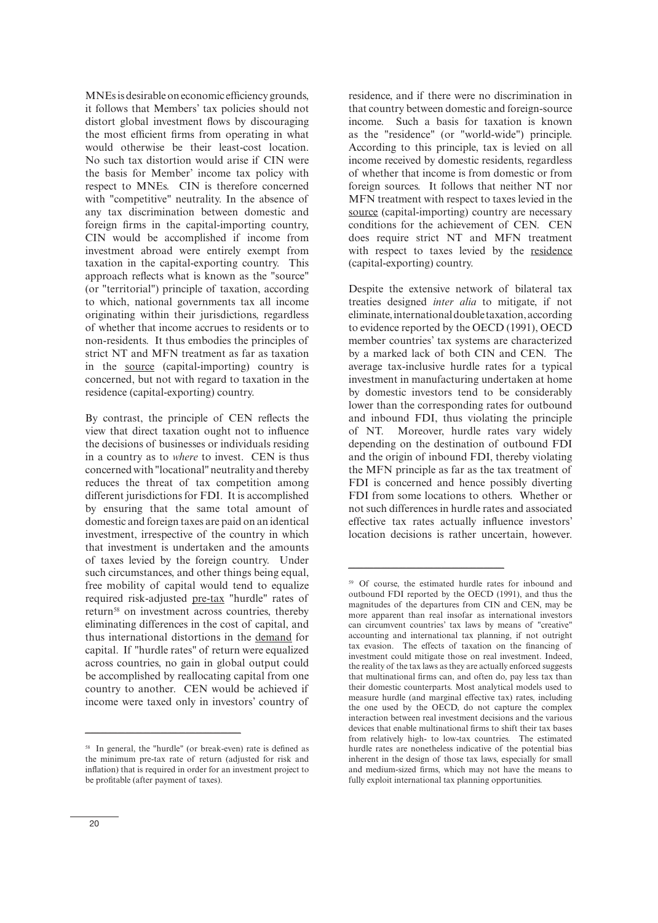MNEs is desirable on economic efficiency grounds. it follows that Members' tax policies should not distort global investment flows by discouraging the most efficient firms from operating in what would otherwise be their least-cost location. No such tax distortion would arise if CIN were the basis for Member' income tax policy with respect to MNEs. CIN is therefore concerned with "competitive" neutrality. In the absence of any tax discrimination between domestic and foreign firms in the capital-importing country, CIN would be accomplished if income from investment abroad were entirely exempt from taxation in the capital-exporting country. This approach reflects what is known as the "source" (or "territorial") principle of taxation, according to which, national governments tax all income originating within their jurisdictions, regardless of whether that income accrues to residents or to non-residents. It thus embodies the principles of strict NT and MFN treatment as far as taxation in the source (capital-importing) country is concerned, but not with regard to taxation in the residence (capital-exporting) country.

By contrast, the principle of CEN reflects the view that direct taxation ought not to influence the decisions of businesses or individuals residing in a country as to *where* to invest. CEN is thus concerned with "locational" neutrality and thereby reduces the threat of tax competition among different jurisdictions for FDI. It is accomplished by ensuring that the same total amount of domestic and foreign taxes are paid on an identical investment, irrespective of the country in which that investment is undertaken and the amounts of taxes levied by the foreign country. Under such circumstances, and other things being equal, free mobility of capital would tend to equalize required risk-adjusted pre-tax "hurdle" rates of return<sup>58</sup> on investment across countries, thereby eliminating differences in the cost of capital, and thus international distortions in the demand for capital. If "hurdle rates" of return were equalized across countries, no gain in global output could be accomplished by reallocating capital from one country to another. CEN would be achieved if income were taxed only in investors' country of

<sup>58</sup> In general, the "hurdle" (or break-even) rate is defined as the minimum pre-tax rate of return (adjusted for risk and inflation) that is required in order for an investment project to be profitable (after payment of taxes).

residence, and if there were no discrimination in that country between domestic and foreign-source income. Such a basis for taxation is known as the "residence" (or "world-wide") principle. According to this principle, tax is levied on all income received by domestic residents, regardless of whether that income is from domestic or from foreign sources. It follows that neither NT nor MFN treatment with respect to taxes levied in the source (capital-importing) country are necessary conditions for the achievement of CEN. CEN does require strict NT and MFN treatment with respect to taxes levied by the residence (capital-exporting) country.

Despite the extensive network of bilateral tax treaties designed inter alia to mitigate, if not eliminate, international double taxation, according to evidence reported by the OECD (1991), OECD member countries' tax systems are characterized by a marked lack of both CIN and CEN. The average tax-inclusive hurdle rates for a typical investment in manufacturing undertaken at home by domestic investors tend to be considerably lower than the corresponding rates for outbound and inbound FDI, thus violating the principle of NT. Moreover, hurdle rates vary widely depending on the destination of outbound FDI and the origin of inbound FDI, thereby violating the MFN principle as far as the tax treatment of FDI is concerned and hence possibly diverting FDI from some locations to others. Whether or not such differences in hurdle rates and associated effective tax rates actually influence investors' location decisions is rather uncertain, however.

<sup>&</sup>lt;sup>59</sup> Of course, the estimated hurdle rates for inbound and outbound FDI reported by the OECD (1991), and thus the magnitudes of the departures from CIN and CEN, may be more apparent than real insofar as international investors can circumvent countries' tax laws by means of "creative" accounting and international tax planning, if not outright tax evasion. The effects of taxation on the financing of investment could mitigate those on real investment. Indeed, the reality of the tax laws as they are actually enforced suggests that multinational firms can, and often do, pay less tax than their domestic counterparts. Most analytical models used to measure hurdle (and marginal effective tax) rates, including the one used by the OECD, do not capture the complex interaction between real investment decisions and the various devices that enable multinational firms to shift their tax bases from relatively high- to low-tax countries. The estimated hurdle rates are nonetheless indicative of the potential bias inherent in the design of those tax laws, especially for small and medium-sized firms, which may not have the means to fully exploit international tax planning opportunities.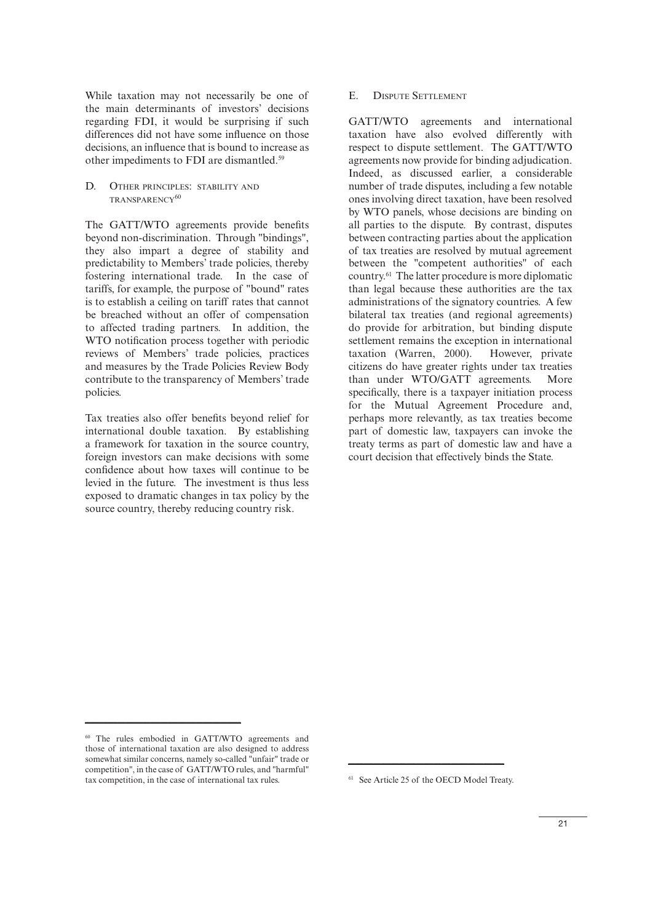While taxation may not necessarily be one of the main determinants of investors' decisions regarding FDI, it would be surprising if such differences did not have some influence on those decisions, an influence that is bound to increase as other impediments to FDI are dismantled.<sup>59</sup>

### D. OTHER PRINCIPLES: STABILITY AND TRANSPARENCY<sup>60</sup>

The GATT/WTO agreements provide benefits beyond non-discrimination. Through "bindings", they also impart a degree of stability and predictability to Members' trade policies, thereby fostering international trade. In the case of tariffs, for example, the purpose of "bound" rates is to establish a ceiling on tariff rates that cannot be breached without an offer of compensation to affected trading partners. In addition, the WTO notification process together with periodic reviews of Members' trade policies, practices and measures by the Trade Policies Review Body contribute to the transparency of Members' trade policies.

Tax treaties also offer benefits beyond relief for international double taxation. By establishing a framework for taxation in the source country, foreign investors can make decisions with some confidence about how taxes will continue to be levied in the future. The investment is thus less exposed to dramatic changes in tax policy by the source country, thereby reducing country risk.

### **DISPUTE SETTLEMENT**  $E_{\rm{L}}$

GATT/WTO agreements and international taxation have also evolved differently with respect to dispute settlement. The GATT/WTO agreements now provide for binding adjudication. Indeed, as discussed earlier, a considerable number of trade disputes, including a few notable ones involving direct taxation, have been resolved by WTO panels, whose decisions are binding on all parties to the dispute. By contrast, disputes between contracting parties about the application of tax treaties are resolved by mutual agreement between the "competent authorities" of each country.<sup>61</sup> The latter procedure is more diplomatic than legal because these authorities are the tax administrations of the signatory countries. A few bilateral tax treaties (and regional agreements) do provide for arbitration, but binding dispute settlement remains the exception in international taxation (Warren, 2000). However, private citizens do have greater rights under tax treaties than under WTO/GATT agreements. More specifically, there is a taxpayer initiation process for the Mutual Agreement Procedure and, perhaps more relevantly, as tax treaties become part of domestic law, taxpayers can invoke the treaty terms as part of domestic law and have a court decision that effectively binds the State.

<sup>&</sup>lt;sup>60</sup> The rules embodied in GATT/WTO agreements and those of international taxation are also designed to address somewhat similar concerns, namely so-called "unfair" trade or competition", in the case of GATT/WTO rules, and "harmful" tax competition, in the case of international tax rules.

<sup>&</sup>lt;sup>61</sup> See Article 25 of the OECD Model Treaty.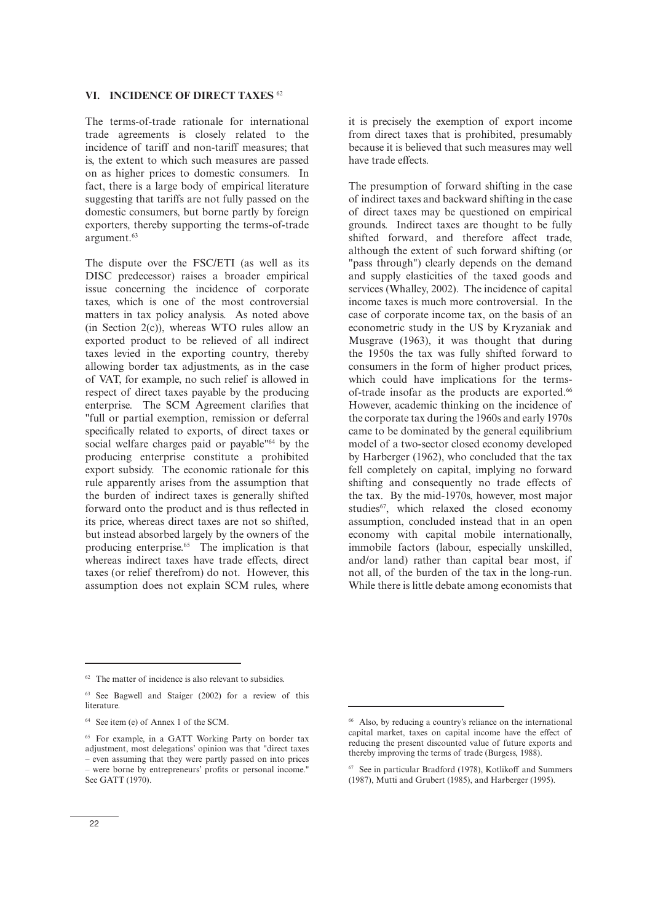## VI. INCIDENCE OF DIRECT TAXES 62

The terms-of-trade rationale for international trade agreements is closely related to the incidence of tariff and non-tariff measures; that is, the extent to which such measures are passed on as higher prices to domestic consumers. In fact, there is a large body of empirical literature suggesting that tariffs are not fully passed on the domestic consumers, but borne partly by foreign exporters, thereby supporting the terms-of-trade argument.<sup>63</sup>

The dispute over the FSC/ETI (as well as its DISC predecessor) raises a broader empirical issue concerning the incidence of corporate taxes, which is one of the most controversial matters in tax policy analysis. As noted above (in Section 2(c)), whereas WTO rules allow an exported product to be relieved of all indirect taxes levied in the exporting country, thereby allowing border tax adjustments, as in the case of VAT, for example, no such relief is allowed in respect of direct taxes payable by the producing enterprise. The SCM Agreement clarifies that "full or partial exemption, remission or deferral specifically related to exports, of direct taxes or social welfare charges paid or payable"<sup>64</sup> by the producing enterprise constitute a prohibited export subsidy. The economic rationale for this rule apparently arises from the assumption that the burden of indirect taxes is generally shifted forward onto the product and is thus reflected in its price, whereas direct taxes are not so shifted, but instead absorbed largely by the owners of the producing enterprise.<sup>65</sup> The implication is that whereas indirect taxes have trade effects, direct taxes (or relief therefrom) do not. However, this assumption does not explain SCM rules, where it is precisely the exemption of export income from direct taxes that is prohibited, presumably because it is believed that such measures may well have trade effects.

The presumption of forward shifting in the case of indirect taxes and backward shifting in the case of direct taxes may be questioned on empirical grounds. Indirect taxes are thought to be fully shifted forward, and therefore affect trade, although the extent of such forward shifting (or "pass through") clearly depends on the demand and supply elasticities of the taxed goods and services (Whalley, 2002). The incidence of capital income taxes is much more controversial. In the case of corporate income tax, on the basis of an econometric study in the US by Kryzaniak and Musgrave (1963), it was thought that during the 1950s the tax was fully shifted forward to consumers in the form of higher product prices, which could have implications for the termsof-trade insofar as the products are exported.<sup>66</sup> However, academic thinking on the incidence of the corporate tax during the 1960s and early 1970s came to be dominated by the general equilibrium model of a two-sector closed economy developed by Harberger (1962), who concluded that the tax fell completely on capital, implying no forward shifting and consequently no trade effects of the tax. By the mid-1970s, however, most major studies<sup>67</sup>, which relaxed the closed economy assumption, concluded instead that in an open economy with capital mobile internationally, immobile factors (labour, especially unskilled, and/or land) rather than capital bear most, if not all, of the burden of the tax in the long-run. While there is little debate among economists that

<sup>&</sup>lt;sup>62</sup> The matter of incidence is also relevant to subsidies.

<sup>&</sup>lt;sup>63</sup> See Bagwell and Staiger (2002) for a review of this literature

<sup>&</sup>lt;sup>64</sup> See item (e) of Annex 1 of the SCM.

<sup>&</sup>lt;sup>65</sup> For example, in a GATT Working Party on border tax adjustment, most delegations' opinion was that "direct taxes - even assuming that they were partly passed on into prices - were borne by entrepreneurs' profits or personal income." See GATT (1970).

<sup>&</sup>lt;sup>66</sup> Also, by reducing a country's reliance on the international capital market, taxes on capital income have the effect of reducing the present discounted value of future exports and thereby improving the terms of trade (Burgess, 1988).

<sup>&</sup>lt;sup>67</sup> See in particular Bradford (1978), Kotlikoff and Summers (1987), Mutti and Grubert (1985), and Harberger (1995).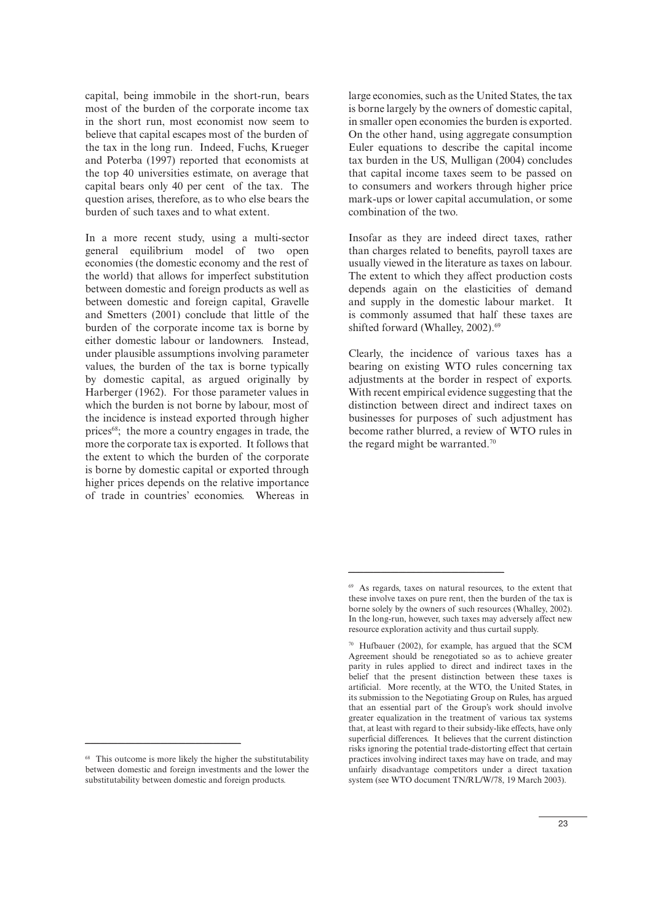capital, being immobile in the short-run, bears most of the burden of the corporate income tax in the short run, most economist now seem to believe that capital escapes most of the burden of the tax in the long run. Indeed, Fuchs, Krueger and Poterba (1997) reported that economists at the top 40 universities estimate, on average that capital bears only 40 per cent of the tax. The question arises, therefore, as to who else bears the burden of such taxes and to what extent.

In a more recent study, using a multi-sector general equilibrium model of two open economies (the domestic economy and the rest of the world) that allows for imperfect substitution between domestic and foreign products as well as between domestic and foreign capital, Gravelle and Smetters (2001) conclude that little of the burden of the corporate income tax is borne by either domestic labour or landowners. Instead, under plausible assumptions involving parameter values, the burden of the tax is borne typically by domestic capital, as argued originally by Harberger (1962). For those parameter values in which the burden is not borne by labour, most of the incidence is instead exported through higher prices<sup>68</sup>; the more a country engages in trade, the more the corporate tax is exported. It follows that the extent to which the burden of the corporate is borne by domestic capital or exported through higher prices depends on the relative importance of trade in countries' economies. Whereas in

large economies, such as the United States, the tax is borne largely by the owners of domestic capital, in smaller open economies the burden is exported. On the other hand, using aggregate consumption Euler equations to describe the capital income tax burden in the US, Mulligan (2004) concludes that capital income taxes seem to be passed on to consumers and workers through higher price mark-ups or lower capital accumulation, or some combination of the two.

Insofar as they are indeed direct taxes, rather than charges related to benefits, payroll taxes are usually viewed in the literature as taxes on labour. The extent to which they affect production costs depends again on the elasticities of demand and supply in the domestic labour market. It is commonly assumed that half these taxes are shifted forward (Whalley, 2002).<sup>69</sup>

Clearly, the incidence of various taxes has a bearing on existing WTO rules concerning tax adjustments at the border in respect of exports. With recent empirical evidence suggesting that the distinction between direct and indirect taxes on businesses for purposes of such adjustment has become rather blurred, a review of WTO rules in the regard might be warranted.<sup>70</sup>

<sup>&</sup>lt;sup>69</sup> As regards, taxes on natural resources, to the extent that these involve taxes on pure rent, then the burden of the tax is borne solely by the owners of such resources (Whalley, 2002). In the long-run, however, such taxes may adversely affect new resource exploration activity and thus curtail supply.

<sup>70</sup> Hufbauer (2002), for example, has argued that the SCM Agreement should be renegotiated so as to achieve greater parity in rules applied to direct and indirect taxes in the belief that the present distinction between these taxes is artificial. More recently, at the WTO, the United States, in its submission to the Negotiating Group on Rules, has argued that an essential part of the Group's work should involve greater equalization in the treatment of various tax systems that, at least with regard to their subsidy-like effects, have only superficial differences. It believes that the current distinction risks ignoring the potential trade-distorting effect that certain practices involving indirect taxes may have on trade, and may unfairly disadvantage competitors under a direct taxation system (see WTO document TN/RL/W/78, 19 March 2003).

<sup>&</sup>lt;sup>68</sup> This outcome is more likely the higher the substitutability between domestic and foreign investments and the lower the substitutability between domestic and foreign products.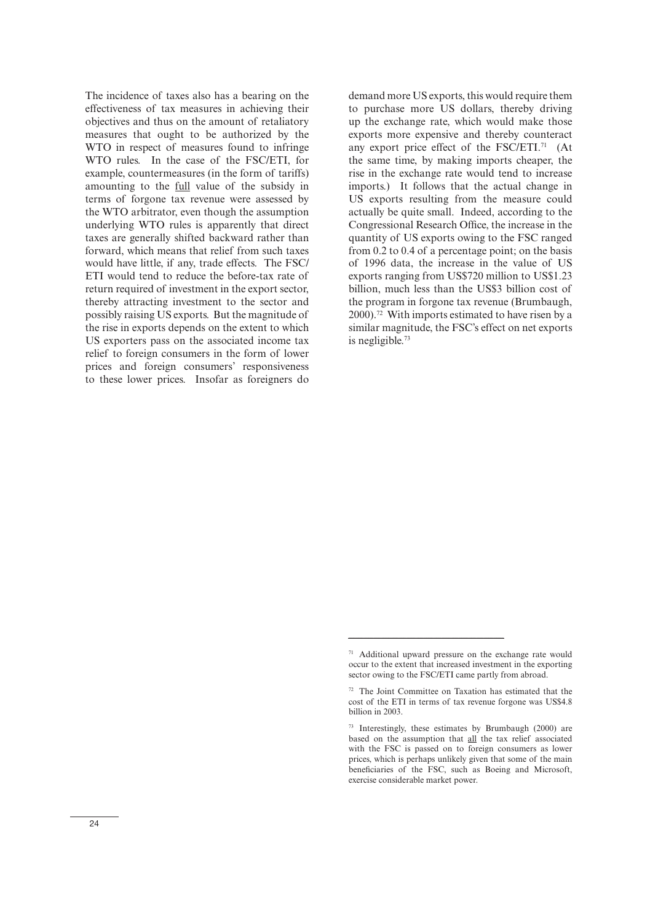The incidence of taxes also has a bearing on the effectiveness of tax measures in achieving their objectives and thus on the amount of retaliatory measures that ought to be authorized by the WTO in respect of measures found to infringe WTO rules. In the case of the FSC/ETI, for example, countermeasures (in the form of tariffs) amounting to the full value of the subsidy in terms of forgone tax revenue were assessed by the WTO arbitrator, even though the assumption underlying WTO rules is apparently that direct taxes are generally shifted backward rather than forward, which means that relief from such taxes would have little, if any, trade effects. The FSC/ ETI would tend to reduce the before-tax rate of return required of investment in the export sector, thereby attracting investment to the sector and possibly raising US exports. But the magnitude of the rise in exports depends on the extent to which US exporters pass on the associated income tax relief to foreign consumers in the form of lower prices and foreign consumers' responsiveness to these lower prices. Insofar as foreigners do

demand more US exports, this would require them to purchase more US dollars, thereby driving up the exchange rate, which would make those exports more expensive and thereby counteract any export price effect of the FSC/ETI.<sup>71</sup> (At the same time, by making imports cheaper, the rise in the exchange rate would tend to increase imports.) It follows that the actual change in US exports resulting from the measure could actually be quite small. Indeed, according to the Congressional Research Office, the increase in the quantity of US exports owing to the FSC ranged from 0.2 to 0.4 of a percentage point; on the basis of 1996 data, the increase in the value of US exports ranging from US\$720 million to US\$1.23 billion, much less than the US\$3 billion cost of the program in forgone tax revenue (Brumbaugh, 2000).<sup>72</sup> With imports estimated to have risen by a similar magnitude, the FSC's effect on net exports is negligible. $73$ 

<sup>71</sup> Additional upward pressure on the exchange rate would occur to the extent that increased investment in the exporting sector owing to the FSC/ETI came partly from abroad.

<sup>&</sup>lt;sup>72</sup> The Joint Committee on Taxation has estimated that the cost of the ETI in terms of tax revenue forgone was US\$4.8 billion in 2003.

<sup>&</sup>lt;sup>73</sup> Interestingly, these estimates by Brumbaugh (2000) are based on the assumption that all the tax relief associated with the FSC is passed on to foreign consumers as lower prices, which is perhaps unlikely given that some of the main beneficiaries of the FSC, such as Boeing and Microsoft, exercise considerable market power.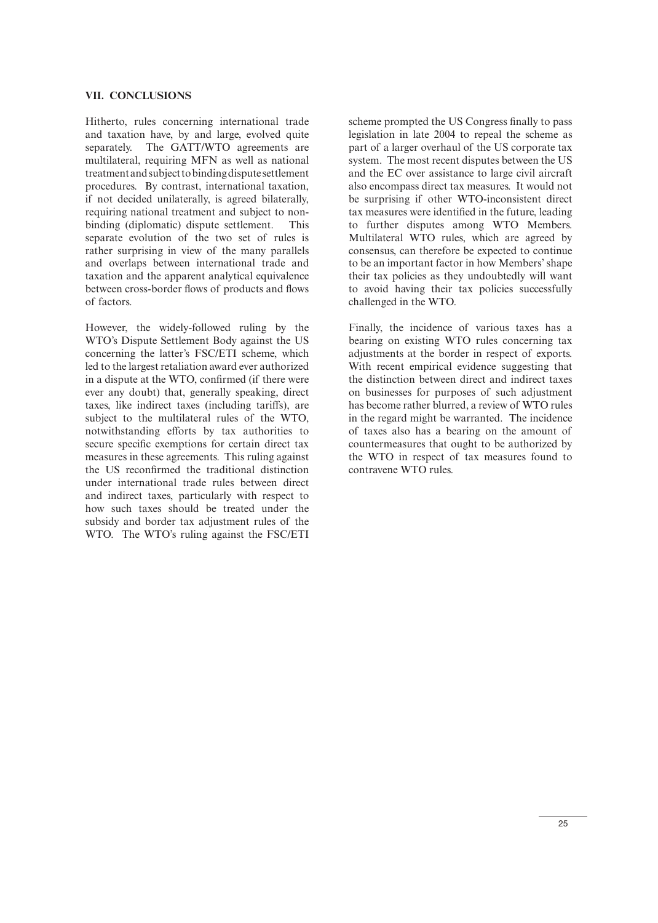## **VII. CONCLUSIONS**

Hitherto, rules concerning international trade and taxation have, by and large, evolved quite separately. The GATT/WTO agreements are multilateral, requiring MFN as well as national treatment and subject to binding dispute settlement procedures. By contrast, international taxation, if not decided unilaterally, is agreed bilaterally, requiring national treatment and subject to nonbinding (diplomatic) dispute settlement. This separate evolution of the two set of rules is rather surprising in view of the many parallels and overlaps between international trade and taxation and the apparent analytical equivalence between cross-border flows of products and flows of factors.

However, the widely-followed ruling by the WTO's Dispute Settlement Body against the US concerning the latter's FSC/ETI scheme, which led to the largest retaliation award ever authorized in a dispute at the WTO, confirmed (if there were ever any doubt) that, generally speaking, direct taxes, like indirect taxes (including tariffs), are subject to the multilateral rules of the WTO, notwithstanding efforts by tax authorities to secure specific exemptions for certain direct tax measures in these agreements. This ruling against the US reconfirmed the traditional distinction under international trade rules between direct and indirect taxes, particularly with respect to how such taxes should be treated under the subsidy and border tax adjustment rules of the WTO. The WTO's ruling against the FSC/ETI scheme prompted the US Congress finally to pass legislation in late 2004 to repeal the scheme as part of a larger overhaul of the US corporate tax system. The most recent disputes between the US and the EC over assistance to large civil aircraft also encompass direct tax measures. It would not be surprising if other WTO-inconsistent direct tax measures were identified in the future, leading to further disputes among WTO Members. Multilateral WTO rules, which are agreed by consensus, can therefore be expected to continue to be an important factor in how Members' shape their tax policies as they undoubtedly will want to avoid having their tax policies successfully challenged in the WTO.

Finally, the incidence of various taxes has a bearing on existing WTO rules concerning tax adjustments at the border in respect of exports. With recent empirical evidence suggesting that the distinction between direct and indirect taxes on businesses for purposes of such adjustment has become rather blurred, a review of WTO rules in the regard might be warranted. The incidence of taxes also has a bearing on the amount of countermeasures that ought to be authorized by the WTO in respect of tax measures found to contravene WTO rules.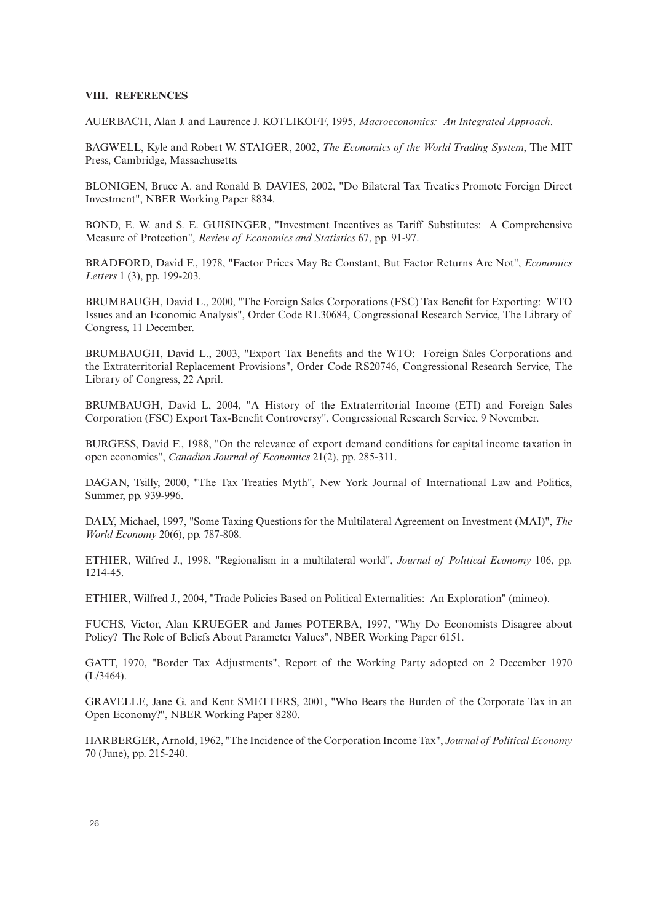## **VIII. REFERENCES**

AUERBACH, Alan J. and Laurence J. KOTLIKOFF, 1995, Macroeconomics: An Integrated Approach.

BAGWELL, Kyle and Robert W. STAIGER, 2002, The Economics of the World Trading System, The MIT Press, Cambridge, Massachusetts.

BLONIGEN, Bruce A. and Ronald B. DAVIES, 2002, "Do Bilateral Tax Treaties Promote Foreign Direct Investment", NBER Working Paper 8834.

BOND, E. W. and S. E. GUISINGER, "Investment Incentives as Tariff Substitutes: A Comprehensive Measure of Protection", Review of Economics and Statistics 67, pp. 91-97.

BRADFORD, David F., 1978, "Factor Prices May Be Constant, But Factor Returns Are Not", Economics Letters 1 (3), pp. 199-203.

BRUMBAUGH, David L., 2000, "The Foreign Sales Corporations (FSC) Tax Benefit for Exporting: WTO Issues and an Economic Analysis", Order Code RL30684, Congressional Research Service, The Library of Congress, 11 December.

BRUMBAUGH, David L., 2003, "Export Tax Benefits and the WTO: Foreign Sales Corporations and the Extraterritorial Replacement Provisions", Order Code RS20746, Congressional Research Service, The Library of Congress, 22 April.

BRUMBAUGH, David L, 2004, "A History of the Extraterritorial Income (ETI) and Foreign Sales Corporation (FSC) Export Tax-Benefit Controversy", Congressional Research Service, 9 November.

BURGESS, David F., 1988, "On the relevance of export demand conditions for capital income taxation in open economies", *Canadian Journal of Economics* 21(2), pp. 285-311.

DAGAN, Tsilly, 2000, "The Tax Treaties Myth", New York Journal of International Law and Politics, Summer, pp. 939-996.

DALY, Michael, 1997, "Some Taxing Questions for the Multilateral Agreement on Investment (MAI)", The World Economy 20(6), pp. 787-808.

ETHIER, Wilfred J., 1998, "Regionalism in a multilateral world", *Journal of Political Economy* 106, pp. 1214-45.

ETHIER, Wilfred J., 2004, "Trade Policies Based on Political Externalities: An Exploration" (mimeo).

FUCHS, Victor, Alan KRUEGER and James POTERBA, 1997, "Why Do Economists Disagree about Policy? The Role of Beliefs About Parameter Values", NBER Working Paper 6151.

GATT, 1970, "Border Tax Adjustments", Report of the Working Party adopted on 2 December 1970  $(L/3464)$ .

GRAVELLE, Jane G. and Kent SMETTERS, 2001, "Who Bears the Burden of the Corporate Tax in an Open Economy?", NBER Working Paper 8280.

HARBERGER, Arnold, 1962, "The Incidence of the Corporation Income Tax", Journal of Political Economy 70 (June), pp. 215-240.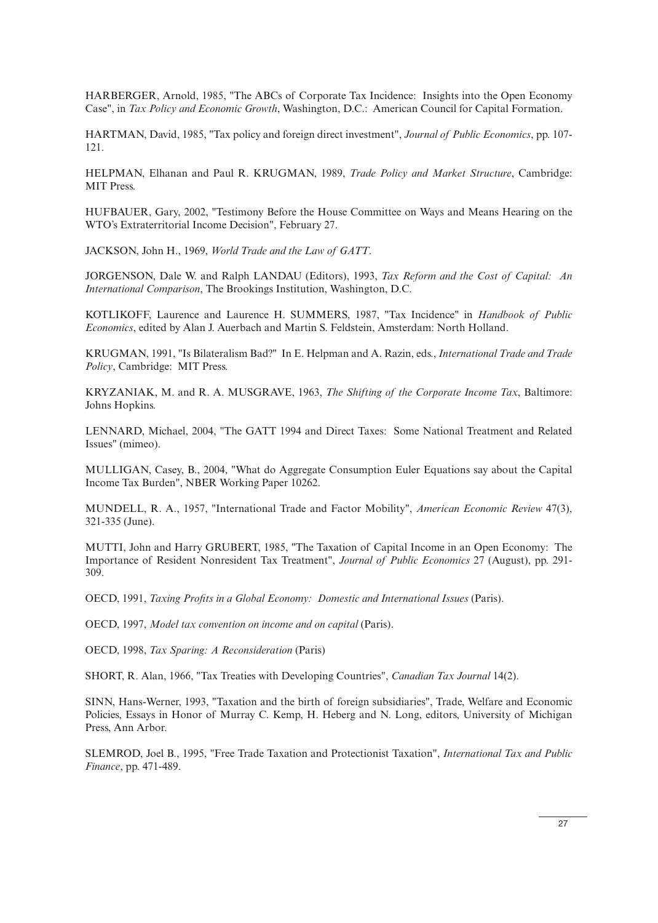HARBERGER, Arnold, 1985, "The ABCs of Corporate Tax Incidence: Insights into the Open Economy Case", in Tax Policy and Economic Growth, Washington, D.C.: American Council for Capital Formation.

HARTMAN, David, 1985, "Tax policy and foreign direct investment", Journal of Public Economics, pp. 107-121.

HELPMAN, Elhanan and Paul R. KRUGMAN, 1989. Trade Policy and Market Structure, Cambridge: **MIT Press.** 

HUFBAUER, Gary, 2002, "Testimony Before the House Committee on Ways and Means Hearing on the WTO's Extraterritorial Income Decision", February 27.

JACKSON, John H., 1969, World Trade and the Law of GATT.

JORGENSON, Dale W. and Ralph LANDAU (Editors), 1993, Tax Reform and the Cost of Capital: An International Comparison, The Brookings Institution, Washington, D.C.

KOTLIKOFF, Laurence and Laurence H. SUMMERS, 1987, "Tax Incidence" in Handbook of Public Economics, edited by Alan J. Auerbach and Martin S. Feldstein, Amsterdam: North Holland.

KRUGMAN, 1991, "Is Bilateralism Bad?" In E. Helpman and A. Razin, eds., International Trade and Trade Policy, Cambridge: MIT Press.

KRYZANIAK, M. and R. A. MUSGRAVE, 1963, The Shifting of the Corporate Income Tax, Baltimore: Johns Hopkins.

LENNARD, Michael, 2004, "The GATT 1994 and Direct Taxes: Some National Treatment and Related Issues" (mimeo).

MULLIGAN, Casey, B., 2004, "What do Aggregate Consumption Euler Equations say about the Capital Income Tax Burden", NBER Working Paper 10262.

MUNDELL, R. A., 1957, "International Trade and Factor Mobility", American Economic Review 47(3), 321-335 (June).

MUTTI, John and Harry GRUBERT, 1985, "The Taxation of Capital Income in an Open Economy: The Importance of Resident Nonresident Tax Treatment", Journal of Public Economics 27 (August), pp. 291-309.

OECD, 1991, Taxing Profits in a Global Economy: Domestic and International Issues (Paris).

OECD, 1997, Model tax convention on income and on capital (Paris).

OECD, 1998, Tax Sparing: A Reconsideration (Paris)

SHORT, R. Alan, 1966, "Tax Treaties with Developing Countries", Canadian Tax Journal 14(2).

SINN, Hans-Werner, 1993, "Taxation and the birth of foreign subsidiaries", Trade, Welfare and Economic Policies, Essays in Honor of Murray C. Kemp, H. Heberg and N. Long, editors, University of Michigan Press, Ann Arbor.

SLEMROD, Joel B., 1995, "Free Trade Taxation and Protectionist Taxation", International Tax and Public Finance, pp. 471-489.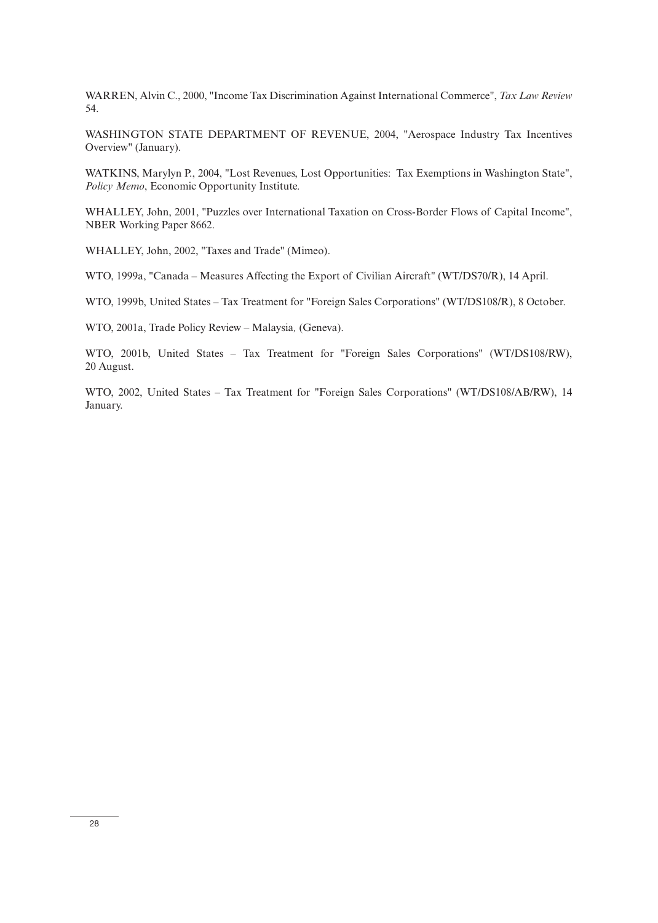WARREN, Alvin C., 2000, "Income Tax Discrimination Against International Commerce", Tax Law Review 54.

WASHINGTON STATE DEPARTMENT OF REVENUE, 2004, "Aerospace Industry Tax Incentives Overview" (January).

WATKINS, Marylyn P., 2004, "Lost Revenues, Lost Opportunities: Tax Exemptions in Washington State", Policy Memo, Economic Opportunity Institute.

WHALLEY, John, 2001, "Puzzles over International Taxation on Cross-Border Flows of Capital Income", NBER Working Paper 8662.

WHALLEY, John, 2002, "Taxes and Trade" (Mimeo).

WTO, 1999a, "Canada – Measures Affecting the Export of Civilian Aircraft" (WT/DS70/R), 14 April.

WTO, 1999b, United States - Tax Treatment for "Foreign Sales Corporations" (WT/DS108/R), 8 October.

WTO, 2001a, Trade Policy Review - Malaysia, (Geneva).

WTO, 2001b, United States - Tax Treatment for "Foreign Sales Corporations" (WT/DS108/RW), 20 August.

WTO, 2002, United States - Tax Treatment for "Foreign Sales Corporations" (WT/DS108/AB/RW), 14 January.